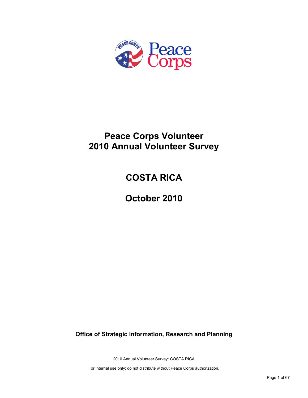

# **Peace Corps Volunteer 2010 Annual Volunteer Survey**

# **COSTA RICA**

**October 2010**

**Office of Strategic Information, Research and Planning**

2010 Annual Volunteer Survey: COSTA RICA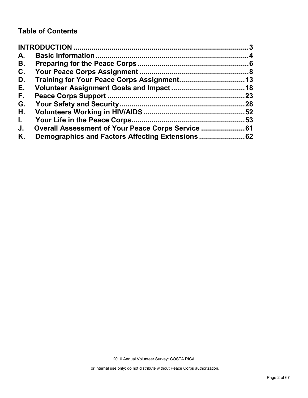## **Table of Contents**

| A.           |                                                |    |
|--------------|------------------------------------------------|----|
| В.           |                                                |    |
| C.           |                                                |    |
| D.           |                                                |    |
| Е.           |                                                |    |
| F.           |                                                | 23 |
| G.           |                                                |    |
| Η.           |                                                |    |
| $\mathbf{L}$ |                                                |    |
| J.           | Overall Assessment of Your Peace Corps Service |    |
| Κ.           |                                                |    |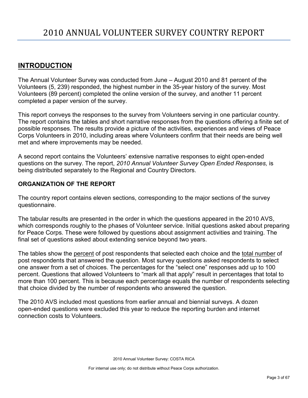## <span id="page-2-0"></span>**INTRODUCTION**

The Annual Volunteer Survey was conducted from June – August 2010 and 81 percent of the Volunteers (5, 239) responded, the highest number in the 35-year history of the survey. Most Volunteers (89 percent) completed the online version of the survey, and another 11 percent completed a paper version of the survey.

This report conveys the responses to the survey from Volunteers serving in one particular country. The report contains the tables and short narrative responses from the questions offering a finite set of possible responses. The results provide a picture of the activities, experiences and views of Peace Corps Volunteers in 2010, including areas where Volunteers confirm that their needs are being well met and where improvements may be needed.

A second report contains the Volunteers' extensive narrative responses to eight open-ended questions on the survey. The report, *2010 Annual Volunteer Survey Open Ended Responses,* is being distributed separately to the Regional and Country Directors.

## **ORGANIZATION OF THE REPORT**

The country report contains eleven sections, corresponding to the major sections of the survey questionnaire.

The tabular results are presented in the order in which the questions appeared in the 2010 AVS, which corresponds roughly to the phases of Volunteer service. Initial questions asked about preparing for Peace Corps. These were followed by questions about assignment activities and training. The final set of questions asked about extending service beyond two years.

The tables show the percent of post respondents that selected each choice and the total number of post respondents that answered the question. Most survey questions asked respondents to select one answer from a set of choices. The percentages for the "select one" responses add up to 100 percent. Questions that allowed Volunteers to "mark all that apply" result in percentages that total to more than 100 percent. This is because each percentage equals the number of respondents selecting that choice divided by the number of respondents who answered the question.

The 2010 AVS included most questions from earlier annual and biennial surveys. A dozen open-ended questions were excluded this year to reduce the reporting burden and internet connection costs to Volunteers.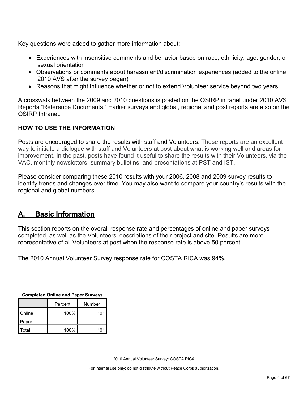Key questions were added to gather more information about:

- Experiences with insensitive comments and behavior based on race, ethnicity, age, gender, or sexual orientation
- Observations or comments about harassment/discrimination experiences (added to the online 2010 AVS after the survey began)
- Reasons that might influence whether or not to extend Volunteer service beyond two years

A crosswalk between the 2009 and 2010 questions is posted on the OSIRP intranet under 2010 AVS Reports "Reference Documents." Earlier surveys and global, regional and post reports are also on the OSIRP Intranet.

## **HOW TO USE THE INFORMATION**

Posts are encouraged to share the results with staff and Volunteers. These reports are an excellent way to initiate a dialogue with staff and Volunteers at post about what is working well and areas for improvement. In the past, posts have found it useful to share the results with their Volunteers, via the VAC, monthly newsletters, summary bulletins, and presentations at PST and IST.

Please consider comparing these 2010 results with your 2006, 2008 and 2009 survey results to identify trends and changes over time. You may also want to compare your country's results with the regional and global numbers.

## <span id="page-3-0"></span>**A. Basic Information**

This section reports on the overall response rate and percentages of online and paper surveys completed, as well as the Volunteers' descriptions of their project and site. Results are more representative of all Volunteers at post when the response rate is above 50 percent.

The 2010 Annual Volunteer Survey response rate for COSTA RICA was 94%.

| Completed Online and Paper Surveys |      |        |  |  |
|------------------------------------|------|--------|--|--|
| Percent                            |      | Number |  |  |
| Online                             | 100% | 101    |  |  |
| Paper                              |      |        |  |  |
| Total                              | 100% | 101    |  |  |

**Completed Online and Paper Surveys**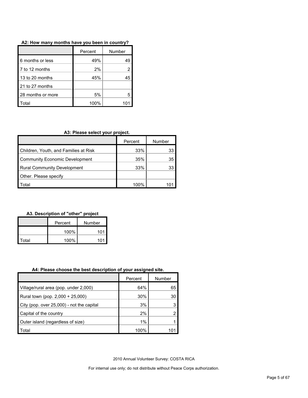| A2: How many months have you been in country? |  |  |  |  |  |  |  |  |  |  |
|-----------------------------------------------|--|--|--|--|--|--|--|--|--|--|
|-----------------------------------------------|--|--|--|--|--|--|--|--|--|--|

|                   | Percent | Number |
|-------------------|---------|--------|
| 6 months or less  | 49%     | 49     |
| 7 to 12 months    | 2%      |        |
| 13 to 20 months   | 45%     | 45     |
| 21 to 27 months   |         |        |
| 28 months or more | 5%      | 5      |
| otal              | 100%    |        |

## **A3: Please select your project.**

|                                       | Percent | Number |
|---------------------------------------|---------|--------|
| Children, Youth, and Families at Risk | 33%     | 33     |
| Community Economic Development        | 35%     | 35     |
| <b>Rural Community Development</b>    | 33%     | 33     |
| Other. Please specify                 |         |        |
| ʻotal                                 | 100%    |        |

### **A3. Description of "other" project**

|       | Percent | Number |  |
|-------|---------|--------|--|
|       | 100%    | 101    |  |
| Total | 100%    | 101    |  |

### **A4: Please choose the best description of your assigned site.**

|                                           | Percent | Number |
|-------------------------------------------|---------|--------|
| Village/rural area (pop. under 2,000)     | 64%     | 65     |
| Rural town (pop. 2,000 + 25,000)          | 30%     | 30     |
| City (pop. over 25,000) - not the capital | 3%      |        |
| Capital of the country                    | 2%      |        |
| Outer island (regardless of size)         | $1\%$   |        |
| Total                                     | 100%    |        |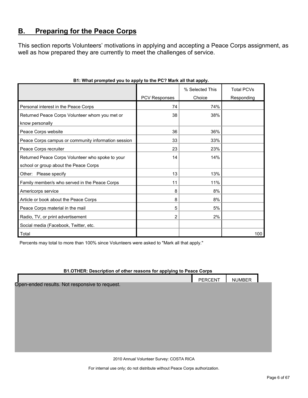## <span id="page-5-0"></span>**B. Preparing for the Peace Corps**

This section reports Volunteers' motivations in applying and accepting a Peace Corps assignment, as well as how prepared they are currently to meet the challenges of service.

|                                                     |                      | % Selected This | <b>Total PCVs</b> |
|-----------------------------------------------------|----------------------|-----------------|-------------------|
|                                                     | <b>PCV Responses</b> | Choice          | Responding        |
| Personal interest in the Peace Corps                | 74                   | 74%             |                   |
| Returned Peace Corps Volunteer whom you met or      | 38                   | 38%             |                   |
| know personally                                     |                      |                 |                   |
| Peace Corps website                                 | 36                   | 36%             |                   |
| Peace Corps campus or community information session | 33                   | 33%             |                   |
| Peace Corps recruiter                               | 23                   | 23%             |                   |
| Returned Peace Corps Volunteer who spoke to your    | 14                   | 14%             |                   |
| school or group about the Peace Corps               |                      |                 |                   |
| Other: Please specify                               | 13                   | 13%             |                   |
| Family member/s who served in the Peace Corps       | 11                   | 11%             |                   |
| Americorps service                                  | 8                    | 8%              |                   |
| Article or book about the Peace Corps               | 8                    | 8%              |                   |
| Peace Corps material in the mail                    | 5                    | 5%              |                   |
| Radio, TV, or print advertisement                   | $\overline{2}$       | 2%              |                   |
| Social media (Facebook, Twitter, etc.               |                      |                 |                   |
| Total                                               |                      |                 | 100               |

## **B1: What prompted you to apply to the PC? Mark all that apply.**

Percents may total to more than 100% since Volunteers were asked to "Mark all that apply."

### **B1.OTHER: Description of other reasons for applying to Peace Corps**

| <b>PERCENT</b>                                 | <b>NUMBER</b> |  |
|------------------------------------------------|---------------|--|
| Open-ended results. Not responsive to request. |               |  |
|                                                |               |  |
|                                                |               |  |
|                                                |               |  |
|                                                |               |  |
|                                                |               |  |
|                                                |               |  |
|                                                |               |  |
|                                                |               |  |
|                                                |               |  |

2010 Annual Volunteer Survey: COSTA RICA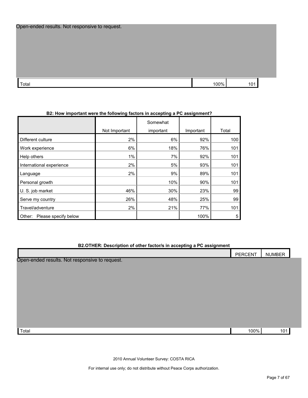| Open-ended results. Not responsive to request. |  |  |
|------------------------------------------------|--|--|
|------------------------------------------------|--|--|

| $\mathbf{r}$<br>Totai | ' በበ% |  |
|-----------------------|-------|--|

### **B2: How important were the following factors in accepting a PC assignment?**

|                                |               | Somewhat  |           |       |
|--------------------------------|---------------|-----------|-----------|-------|
|                                | Not Important | important | Important | Total |
| Different culture              | 2%            | 6%        | 92%       | 100   |
| Work experience                | 6%            | 18%       | 76%       | 101   |
| Help others                    | 1%            | 7%        | 92%       | 101   |
| International experience       | 2%            | 5%        | 93%       | 101   |
| Language                       | 2%            | 9%        | 89%       | 101   |
| Personal growth                |               | 10%       | 90%       | 101   |
| U. S. job market               | 46%           | 30%       | 23%       | 99    |
| Serve my country               | 26%           | 48%       | 25%       | 99    |
| Travel/adventure               | 2%            | 21%       | 77%       | 101   |
| Please specify below<br>Other: |               |           | 100%      | 5     |

#### **B2.OTHER: Description of other factor/s in accepting a PC assignment**

|                                                | PERCENT | <b>NUMBER</b> |
|------------------------------------------------|---------|---------------|
| Open-ended results. Not responsive to request. |         |               |
|                                                |         |               |
|                                                |         |               |
|                                                |         |               |
|                                                |         |               |
|                                                |         |               |
|                                                |         |               |
|                                                |         |               |
|                                                |         |               |
|                                                |         |               |
|                                                |         |               |

 $\Gamma$ otal 100%  $\vert$  1010% 101

2010 Annual Volunteer Survey: COSTA RICA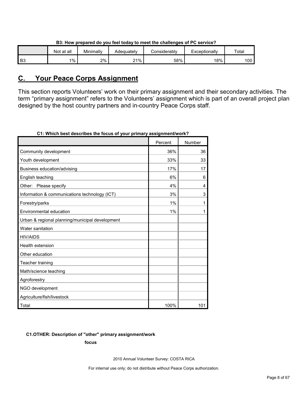|                | Not at all | Minimally | Adeauatelv | onsiderablyٽ | Exceptionally | Total |
|----------------|------------|-----------|------------|--------------|---------------|-------|
| B <sub>3</sub> | $1\%$      | 2%        | 21%        | 58%          | 18%           | 100   |

## **B3: How prepared do you feel today to meet the challenges of PC service?**

## <span id="page-7-0"></span>**C. Your Peace Corps Assignment**

This section reports Volunteers' work on their primary assignment and their secondary activities. The term "primary assignment" refers to the Volunteers' assignment which is part of an overall project plan designed by the host country partners and in-country Peace Corps staff.

|                                                 | Percent | Number |
|-------------------------------------------------|---------|--------|
| Community development                           | 36%     | 36     |
| Youth development                               | 33%     | 33     |
| Business education/advising                     | 17%     | 17     |
| English teaching                                | 6%      | 6      |
| Other: Please specify                           | 4%      | 4      |
| Information & communications technology (ICT)   | 3%      | 3      |
| Forestry/parks                                  | 1%      | 1      |
| Environmental education                         | 1%      | 1      |
| Urban & regional planning/municipal development |         |        |
| Water sanitation                                |         |        |
| <b>HIV/AIDS</b>                                 |         |        |
| <b>Health extension</b>                         |         |        |
| Other education                                 |         |        |
| Teacher training                                |         |        |
| Math/science teaching                           |         |        |
| Agroforestry                                    |         |        |
| NGO development                                 |         |        |
| Agriculture/fish/livestock                      |         |        |
| Total                                           | 100%    | 101    |

**C1: Which best describes the focus of your primary assignment/work?**

### **C1.OTHER: Description of "other" primary assignment/work**

**focus**

2010 Annual Volunteer Survey: COSTA RICA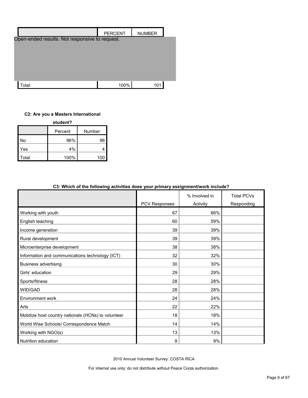|                                                | <b>PERCENT</b> | <b>NUMBER</b> |
|------------------------------------------------|----------------|---------------|
| Open-ended results. Not responsive to request. |                |               |
|                                                |                |               |
|                                                |                |               |
|                                                |                |               |
|                                                |                |               |
|                                                |                |               |
|                                                |                |               |
| Total                                          | 100%           | 10            |

## **C2: Are you a Masters International**

| student? |         |        |  |  |  |
|----------|---------|--------|--|--|--|
|          | Percent | Number |  |  |  |
| No       | 96%     | 96     |  |  |  |
| Yes      | 4%      |        |  |  |  |
| Total    | 100%    | 10.    |  |  |  |

| oo. Willon of the following activities abes your primary assignment work include: |               |               |                   |
|-----------------------------------------------------------------------------------|---------------|---------------|-------------------|
|                                                                                   |               | % Involved in | <b>Total PCVs</b> |
|                                                                                   | PCV Responses | Activity      | Responding        |
| Working with youth                                                                | 67            | 66%           |                   |
| English teaching                                                                  | 60            | 59%           |                   |
| Income generation                                                                 | 39            | 39%           |                   |
| Rural development                                                                 | 39            | 39%           |                   |
| Microenterprise development                                                       | 38            | 38%           |                   |
| Information and communications technology (ICT)                                   | 32            | 32%           |                   |
| <b>Business advertising</b>                                                       | 30            | 30%           |                   |
| Girls' education                                                                  | 29            | 29%           |                   |
| Sports/fitness                                                                    | 28            | 28%           |                   |
| WID/GAD                                                                           | 28            | 28%           |                   |
| Environment work                                                                  | 24            | 24%           |                   |
| Arts                                                                              | 22            | 22%           |                   |
| Mobilize host country nationals (HCNs) to volunteer                               | 18            | 18%           |                   |
| World Wise Schools/ Correspondence Match                                          | 14            | 14%           |                   |
| Working with NGO(s)                                                               | 13            | 13%           |                   |
| Nutrition education                                                               | 9             | 9%            |                   |

## **C3: Which of the following activities does your primary assignment/work include?**

2010 Annual Volunteer Survey: COSTA RICA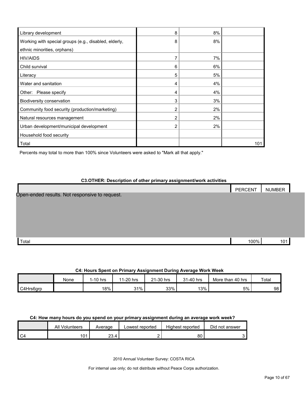| Library development                                   | 8 | 8% |     |
|-------------------------------------------------------|---|----|-----|
| Working with special groups (e.g., disabled, elderly, | 8 | 8% |     |
| ethnic minorities, orphans)                           |   |    |     |
| <b>HIV/AIDS</b>                                       |   | 7% |     |
| Child survival                                        | 6 | 6% |     |
| Literacy                                              | 5 | 5% |     |
| Water and sanitation                                  | 4 | 4% |     |
| Other: Please specify                                 | 4 | 4% |     |
| Biodiversity conservation                             | 3 | 3% |     |
| Community food security (production/marketing)        | 2 | 2% |     |
| Natural resources management                          | 2 | 2% |     |
| Urban development/municipal development               | 2 | 2% |     |
| Household food security                               |   |    |     |
| Total                                                 |   |    | 101 |

Percents may total to more than 100% since Volunteers were asked to "Mark all that apply."

#### **C3.OTHER: Description of other primary assignment/work activities**

|                                                | PERCENT | <b>NUMBER</b> |  |
|------------------------------------------------|---------|---------------|--|
| Open-ended results. Not responsive to request. |         |               |  |
|                                                |         |               |  |
|                                                |         |               |  |
|                                                |         |               |  |
|                                                |         |               |  |
| Total                                          | 100%    | 101           |  |

#### **C4: Hours Spent on Primary Assignment During Average Work Week**

|           | None | 1-10 hrs | 1-20 hrs<br>44 | 21-30 hrs | 31-40 hrs | More than 40 hrs | Total |
|-----------|------|----------|----------------|-----------|-----------|------------------|-------|
| C4Hrs6grp |      | 18%      | 31%            | 33%       | 13%       | 5%               | 98    |

## **C4: How many hours do you spend on your primary assignment during an average work week?**

|    | <b>All Volunteers</b> | Average | Lowest reported | Highest reported | Did not answer |
|----|-----------------------|---------|-----------------|------------------|----------------|
| C4 | 101<br>υ              | 23.4    |                 | 80               |                |

2010 Annual Volunteer Survey: COSTA RICA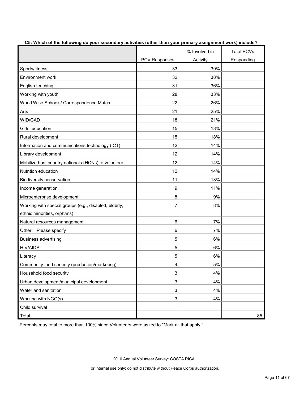|                                                       |                      | % Involved in | <b>Total PCVs</b> |
|-------------------------------------------------------|----------------------|---------------|-------------------|
|                                                       | <b>PCV Responses</b> | Activity      | Responding        |
| Sports/fitness                                        | 33                   | 39%           |                   |
| <b>Environment work</b>                               | 32                   | 38%           |                   |
| English teaching                                      | 31                   | 36%           |                   |
| Working with youth                                    | 28                   | 33%           |                   |
| World Wise Schools/ Correspondence Match              | 22                   | 26%           |                   |
| Arts                                                  | 21                   | 25%           |                   |
| WID/GAD                                               | 18                   | 21%           |                   |
| Girls' education                                      | 15                   | 18%           |                   |
| Rural development                                     | 15                   | 18%           |                   |
| Information and communications technology (ICT)       | 12                   | 14%           |                   |
| Library development                                   | 12                   | 14%           |                   |
| Mobilize host country nationals (HCNs) to volunteer   | 12                   | 14%           |                   |
| Nutrition education                                   | 12                   | 14%           |                   |
| Biodiversity conservation                             | 11                   | 13%           |                   |
| Income generation                                     | 9                    | 11%           |                   |
| Microenterprise development                           | 8                    | 9%            |                   |
| Working with special groups (e.g., disabled, elderly, | 7                    | 8%            |                   |
| ethnic minorities, orphans)                           |                      |               |                   |
| Natural resources management                          | 6                    | 7%            |                   |
| Other: Please specify                                 | 6                    | 7%            |                   |
| <b>Business advertising</b>                           | 5                    | 6%            |                   |
| <b>HIV/AIDS</b>                                       | 5                    | 6%            |                   |
| Literacy                                              | 5                    | 6%            |                   |
| Community food security (production/marketing)        | 4                    | 5%            |                   |
| Household food security                               | 3                    | 4%            |                   |
| Urban development/municipal development               | 3                    | 4%            |                   |
| Water and sanitation                                  | 3                    | 4%            |                   |
| Working with NGO(s)                                   | 3                    | 4%            |                   |
| Child survival                                        |                      |               |                   |
| Total                                                 |                      |               | 85                |

**C5: Which of the following do your secondary activities (other than your primary assignment work) include?**

Percents may total to more than 100% since Volunteers were asked to "Mark all that apply."

2010 Annual Volunteer Survey: COSTA RICA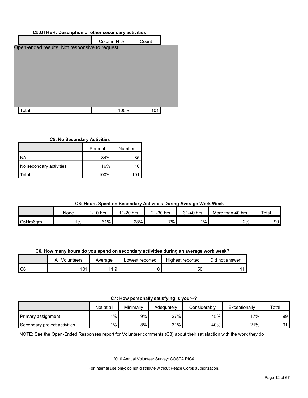| <b>C5.OTHER: Description of other secondary activities</b> |            |       |  |  |  |  |  |
|------------------------------------------------------------|------------|-------|--|--|--|--|--|
|                                                            | Column N % | Count |  |  |  |  |  |
| Open-ended results. Not responsive to request.             |            |       |  |  |  |  |  |
|                                                            |            |       |  |  |  |  |  |
|                                                            |            |       |  |  |  |  |  |
|                                                            |            |       |  |  |  |  |  |
|                                                            |            |       |  |  |  |  |  |
|                                                            |            |       |  |  |  |  |  |
|                                                            |            |       |  |  |  |  |  |
| otal <sup>.</sup>                                          | 100%       | 101   |  |  |  |  |  |
|                                                            |            |       |  |  |  |  |  |

#### **C5: No Secondary Activities**

|                         | Percent | Number |
|-------------------------|---------|--------|
| NA                      | 84%     | 85     |
| No secondary activities | 16%     | 16     |
| Total                   | 100%    | 10     |
|                         |         |        |

#### **C6: Hours Spent on Secondary Activities During Average Work Week** .

|           | None  | I-10 hrs | 11-20 hrs | 21-30 hrs | 31-40 hrs | More than<br>ا 40 hrs | Total |
|-----------|-------|----------|-----------|-----------|-----------|-----------------------|-------|
| C6Hrs6grp | $1\%$ |          | 28%       | $7\%$     | $1\%$     | 2%                    | 90    |

**C6. How many hours do you spend on secondary activities during an average work week?** o

|        | All<br>Volunteers | Average               | Lowest reported | Highest reported | Did not answer |
|--------|-------------------|-----------------------|-----------------|------------------|----------------|
| $\sim$ | 01                | $\overline{A}$<br>. . |                 | 50               |                |

## **C7: How personally satisfying is your--?** o

| <b>Printed Strategies of the Control of the Strategies of the Strategies</b> |            |           |            |              |               |       |  |  |  |
|------------------------------------------------------------------------------|------------|-----------|------------|--------------|---------------|-------|--|--|--|
|                                                                              | Not at all | Minimally | Adeauatelv | Considerably | Exceptionally | Total |  |  |  |
| Primary assignment                                                           | 1%         | 9%        | 27%        | 45%          | $17\%$        | 99    |  |  |  |
| Secondary project activities                                                 | $1\%$      | 8%        | 31%        | 40%          | 21%           | 91    |  |  |  |

NOTE: See the Open-Ended Responses report for Volunteer comments (C8) about their satisfaction with the work they do s t

2010 Annual Volunteer Survey: COSTA RICA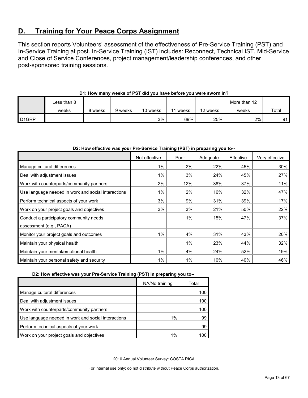## <span id="page-12-0"></span>**D. Training for Your Peace Corps Assignment**

This section reports Volunteers' assessment of the effectiveness of Pre-Service Training (PST) and In-Service Training at post. In-Service Training (IST) includes: Reconnect, Technical IST, Mid-Service and Close of Service Conferences, project management/leadership conferences, and other post-sponsored training sessions.

|                    | ∟ess than 8 |         |         |          |       |          | More than 12 |       |
|--------------------|-------------|---------|---------|----------|-------|----------|--------------|-------|
|                    | weeks       | 8 weeks | 9 weeks | 10 weeks | weeks | 12 weeks | weeks        | Total |
| D <sub>1</sub> GRP |             |         |         | 3%       | 69%   | 25%      | 2%           | 91    |

## **D1: How many weeks of PST did you have before you were sworn in?**

#### **D2: How effective was your Pre-Service Training (PST) in preparing you to--**

|                                                     | Not effective | Poor  | Adequate | Effective | Very effective |
|-----------------------------------------------------|---------------|-------|----------|-----------|----------------|
| Manage cultural differences                         | $1\%$         | 2%    | 22%      | 45%       | 30%            |
| Deal with adjustment issues                         | 1%            | 3%    | 24%      | 45%       | 27%            |
| Work with counterparts/community partners           | 2%            | 12%   | 38%      | 37%       | 11%            |
| Use language needed in work and social interactions | $1\%$         | 2%    | 16%      | 32%       | 47%            |
| Perform technical aspects of your work              | 3%            | 9%    | 31%      | 39%       | 17%            |
| Work on your project goals and objectives           | 3%            | 3%    | 21%      | 50%       | 22%            |
| Conduct a participatory community needs             |               | 1%    | 15%      | 47%       | 37%            |
| assessment (e.g., PACA)                             |               |       |          |           |                |
| Monitor your project goals and outcomes             | 1%            | 4%    | 31%      | 43%       | 20%            |
| Maintain your physical health                       |               | $1\%$ | 23%      | 44%       | 32%            |
| Maintain your mental/emotional health               | 1%            | 4%    | 24%      | 52%       | 19%            |
| Maintain your personal safety and security          | $1\%$         | $1\%$ | 10%      | 40%       | 46%            |

**D2: How effective was your Pre-Service Training (PST) in preparing you to--**

|                                                     | NA/No training | Total |
|-----------------------------------------------------|----------------|-------|
| Manage cultural differences                         |                | 100   |
| Deal with adjustment issues                         |                | 100   |
| Work with counterparts/community partners           |                | 10C   |
| Use language needed in work and social interactions | $1\%$          | 99    |
| Perform technical aspects of your work              |                | 99    |
| Work on your project goals and objectives           | $1\%$          |       |

2010 Annual Volunteer Survey: COSTA RICA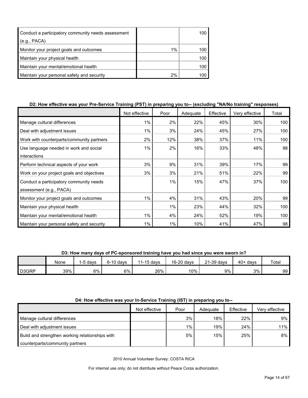| Conduct a participatory community needs assessment |       | 100 |
|----------------------------------------------------|-------|-----|
| (e.g., PACA)                                       |       |     |
| Monitor your project goals and outcomes            | $1\%$ | 100 |
| Maintain your physical health                      |       | 100 |
| Maintain your mental/emotional health              |       | 100 |
| Maintain your personal safety and security         | 2%    | 100 |

## **D2: How effective was your Pre-Service Training (PST) in preparing you to-- (excluding "NA/No training" responses)**

|                                            | Not effective | Poor | Adequate | Effective | Very effective | Total |
|--------------------------------------------|---------------|------|----------|-----------|----------------|-------|
| Manage cultural differences                | 1%            | 2%   | 22%      | 45%       | 30%            | 100   |
| Deal with adjustment issues                | $1\%$         | 3%   | 24%      | 45%       | 27%            | 100   |
| Work with counterparts/community partners  | 2%            | 12%  | 38%      | 37%       | 11%            | 100   |
| Use language needed in work and social     | 1%            | 2%   | 16%      | 33%       | 48%            | 98    |
| interactions                               |               |      |          |           |                |       |
| Perform technical aspects of your work     | 3%            | 9%   | 31%      | 39%       | 17%            | 99    |
| Work on your project goals and objectives  | 3%            | 3%   | 21%      | 51%       | 22%            | 99    |
| Conduct a participatory community needs    |               | 1%   | 15%      | 47%       | 37%            | 100   |
| assessment (e.g., PACA)                    |               |      |          |           |                |       |
| Monitor your project goals and outcomes    | 1%            | 4%   | 31%      | 43%       | 20%            | 99    |
| Maintain your physical health              |               | 1%   | 23%      | 44%       | 32%            | 100   |
| Maintain your mental/emotional health      | 1%            | 4%   | 24%      | 52%       | 19%            | 100   |
| Maintain your personal safety and security | 1%            | 1%   | 10%      | 41%       | 47%            | 98    |

**D3: How many days of PC-sponsored training have you had since you were sworn in?**

|       | None | 1-5 davs | $6-10$ davs | $1-15$ davs | 16-20 days | $21-39$ days | $40+$ davs | Total |
|-------|------|----------|-------------|-------------|------------|--------------|------------|-------|
| D3GRP | 39%  | $6\%$    | 6%          | 26%         | 10%        | 9%           | 3%         | 99    |

## **D4: How effective was your In-Service Training (IST) in preparing you to--**

|                                                 | Not effective | Poor | Adequate | Effective | Verv effective |
|-------------------------------------------------|---------------|------|----------|-----------|----------------|
| Manage cultural differences                     |               | 3%   | 18%      | 22%       | $9\%$          |
| Deal with adjustment issues                     |               | 1%   | 19%      | 24%       | $11\%$         |
| Build and strengthen working relationships with |               | 5%   | 15%      | 25%       | 8%             |
| counterparts/community partners                 |               |      |          |           |                |

2010 Annual Volunteer Survey: COSTA RICA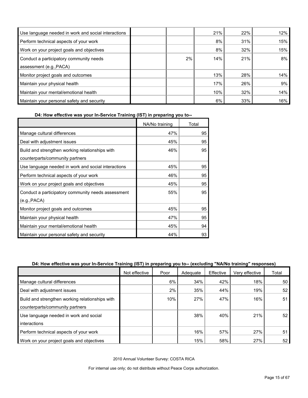| Use language needed in work and social interactions |    | 21% | 22% | 12% |
|-----------------------------------------------------|----|-----|-----|-----|
| Perform technical aspects of your work              |    | 8%  | 31% | 15% |
| Work on your project goals and objectives           |    | 8%  | 32% | 15% |
| Conduct a participatory community needs             | 2% | 14% | 21% | 8%  |
| assessment (e.g., PACA)                             |    |     |     |     |
| Monitor project goals and outcomes                  |    | 13% | 28% | 14% |
| Maintain your physical health                       |    | 17% | 26% | 9%  |
| Maintain your mental/emotional health               |    | 10% | 32% | 14% |
| Maintain your personal safety and security          |    | 6%  | 33% | 16% |

**D4: How effective was your In-Service Training (IST) in preparing you to--**

|                                                     | NA/No training | Total |
|-----------------------------------------------------|----------------|-------|
| Manage cultural differences                         | 47%            | 95    |
| Deal with adjustment issues                         | 45%            | 95    |
| Build and strengthen working relationships with     | 46%            | 95    |
| counterparts/community partners                     |                |       |
| Use language needed in work and social interactions | 45%            | 95    |
| Perform technical aspects of your work              | 46%            | 95    |
| Work on your project goals and objectives           | 45%            | 95    |
| Conduct a participatory community needs assessment  | 55%            | 95    |
| (e.g., PACA)                                        |                |       |
| Monitor project goals and outcomes                  | 45%            | 95    |
| Maintain your physical health                       | 47%            | 95    |
| Maintain your mental/emotional health               | 45%            | 94    |
| Maintain your personal safety and security          | 44%            | 93    |

## **D4: How effective was your In-Service Training (IST) in preparing you to-- (excluding "NA/No training" responses)**

|                                                 | Not effective | Poor | Adequate | Effective | Very effective | Total           |
|-------------------------------------------------|---------------|------|----------|-----------|----------------|-----------------|
| Manage cultural differences                     |               | 6%   | 34%      | 42%       | 18%            | 50 <sub>1</sub> |
| Deal with adjustment issues                     |               | 2%   | 35%      | 44%       | 19%            | 52              |
| Build and strengthen working relationships with |               | 10%  | 27%      | 47%       | 16%            | 51              |
| counterparts/community partners                 |               |      |          |           |                |                 |
| Use language needed in work and social          |               |      | 38%      | 40%       | 21%            | 52              |
| interactions                                    |               |      |          |           |                |                 |
| Perform technical aspects of your work          |               |      | 16%      | 57%       | 27%            | 51              |
| Work on your project goals and objectives       |               |      | 15%      | 58%       | 27%            | 52              |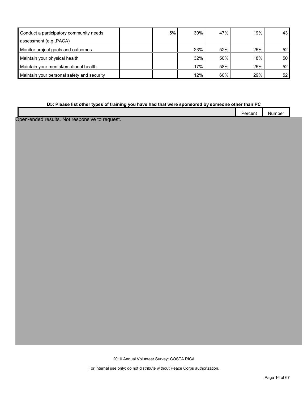| Conduct a participatory community needs    | 5% | 30% | 47% | 19% | 43 <sup>1</sup> |
|--------------------------------------------|----|-----|-----|-----|-----------------|
| assessment (e.g., PACA)                    |    |     |     |     |                 |
| Monitor project goals and outcomes         |    | 23% | 52% | 25% | 52 <sub>1</sub> |
| Maintain your physical health              |    | 32% | 50% | 18% | 50 <sup>°</sup> |
| Maintain your mental/emotional health      |    | 17% | 58% | 25% | 52 <sub>1</sub> |
| Maintain your personal safety and security |    | 12% | 60% | 29% | 52 <sub>l</sub> |

#### **D5: Please list other types of training you have had that were sponsored by someone other than PC**

|     | $\overline{\phantom{a}}$<br>Jarrant<br>-- |        |  |
|-----|-------------------------------------------|--------|--|
|     | ucu<br>.<br>-------                       | Number |  |
| . . |                                           |        |  |

Open-ended results. Not responsive to request.

2010 Annual Volunteer Survey: COSTA RICA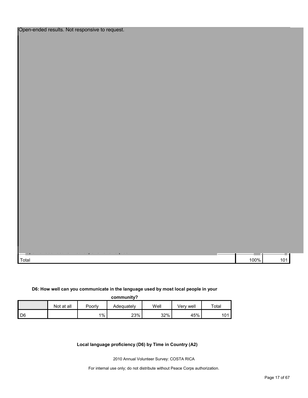| $\sim$ |  |      |                 |
|--------|--|------|-----------------|
| Total  |  | 100% | 10 <sup>4</sup> |

#### **D6: How well can you communicate in the language used by most local people in your**

| community? |
|------------|
|            |

|      | Not at all | Poorly | Adequatelv | Well | Verv well | $\tau$ otai |
|------|------------|--------|------------|------|-----------|-------------|
| I D6 |            | 1%     | 23%        | 32%  | 45%       | 101         |

**Local language proficiency (D6) by Time in Country (A2)**

2010 Annual Volunteer Survey: COSTA RICA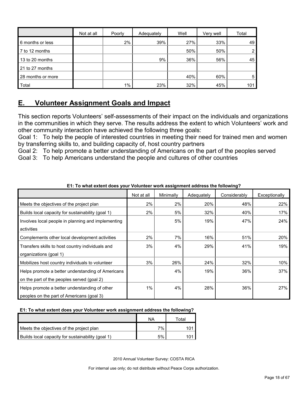|                   | Not at all | Poorly | Adequately | Well | Very well | Total |
|-------------------|------------|--------|------------|------|-----------|-------|
| 6 months or less  |            | 2%     | 39%        | 27%  | 33%       | 49    |
| 7 to 12 months    |            |        |            | 50%  | 50%       | 2     |
| 13 to 20 months   |            |        | 9%         | 36%  | 56%       | 45    |
| 21 to 27 months   |            |        |            |      |           |       |
| 28 months or more |            |        |            | 40%  | 60%       | 5     |
| Total             |            | $1\%$  | 23%        | 32%  | 45%       | 101   |

## <span id="page-17-0"></span>**E. Volunteer Assignment Goals and Impact**

This section reports Volunteers' self-assessments of their impact on the individuals and organizations in the communities in which they serve. The results address the extent to which Volunteers' work and other community interaction have achieved the following three goals:

Goal 1: To help the people of interested countries in meeting their need for trained men and women by transferring skills to, and building capacity of, host country partners

Goal 2: To help promote a better understanding of Americans on the part of the peoples served Goal 3: To help Americans understand the people and cultures of other countries

|                                                    | Not at all | Minimally | Adequately | Considerably | Exceptionally |
|----------------------------------------------------|------------|-----------|------------|--------------|---------------|
| Meets the objectives of the project plan           | 2%         | 2%        | 20%        | 48%          | 22%           |
| Builds local capacity for sustainability (goal 1)  | 2%         | 5%        | 32%        | 40%          | 17%           |
| Involves local people in planning and implementing |            | 5%        | 19%        | 47%          | 24%           |
| activities                                         |            |           |            |              |               |
| Complements other local development activities     | 2%         | 7%        | 16%        | 51%          | 20%           |
| Transfers skills to host country individuals and   | 3%         | 4%        | 29%        | 41%          | 19%           |
| organizations (goal 1)                             |            |           |            |              |               |
| Mobilizes host country individuals to volunteer    | 3%         | 26%       | 24%        | 32%          | 10%           |
| Helps promote a better understanding of Americans  |            | 4%        | 19%        | 36%          | 37%           |
| on the part of the peoples served (goal 2)         |            |           |            |              |               |
| Helps promote a better understanding of other      | 1%         | 4%        | 28%        | 36%          | 27%           |
| peoples on the part of Americans (goal 3)          |            |           |            |              |               |

**E1: To what extent does your Volunteer work assignment address the following?**

### **E1: To what extent does your Volunteer work assignment address the following?**

|                                                   | ΝA | ™otal |
|---------------------------------------------------|----|-------|
| Meets the objectives of the project plan          | 7% |       |
| Builds local capacity for sustainability (goal 1) | 5% |       |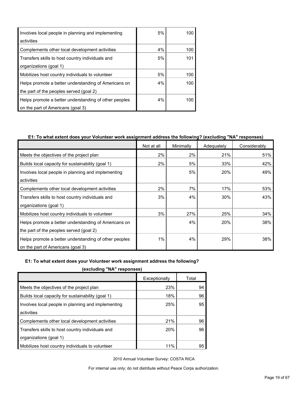| Involves local people in planning and implementing    | 5% | 100 |
|-------------------------------------------------------|----|-----|
| activities                                            |    |     |
| Complements other local development activities        | 4% | 100 |
| Transfers skills to host country individuals and      | 5% | 101 |
| organizations (goal 1)                                |    |     |
| Mobilizes host country individuals to volunteer       | 5% | 100 |
| Helps promote a better understanding of Americans on  | 4% | 100 |
| the part of the peoples served (goal 2)               |    |     |
| Helps promote a better understanding of other peoples | 4% | 100 |
| on the part of Americans (goal 3)                     |    |     |

### **E1: To what extent does your Volunteer work assignment address the following? (excluding "NA" responses)**

|                                                       | Not at all | Minimally | Adequately | Considerably |
|-------------------------------------------------------|------------|-----------|------------|--------------|
| Meets the objectives of the project plan              | 2%         | 2%        | 21%        | 51%          |
| Builds local capacity for sustainability (goal 1)     | 2%         | 5%        | 33%        | 42%          |
| Involves local people in planning and implementing    |            | 5%        | 20%        | 49%          |
| activities                                            |            |           |            |              |
| Complements other local development activities        | 2%         | 7%        | 17%        | 53%          |
| Transfers skills to host country individuals and      | 3%         | 4%        | 30%        | 43%          |
| organizations (goal 1)                                |            |           |            |              |
| Mobilizes host country individuals to volunteer       | 3%         | 27%       | 25%        | 34%          |
| Helps promote a better understanding of Americans on  |            | 4%        | 20%        | 38%          |
| the part of the peoples served (goal 2)               |            |           |            |              |
| Helps promote a better understanding of other peoples | 1%         | 4%        | 29%        | 38%          |
| on the part of Americans (goal 3)                     |            |           |            |              |

#### **E1: To what extent does your Volunteer work assignment address the following?**

**(excluding "NA" responses)**

| Exceptionally | Total |  |  |  |  |  |
|---------------|-------|--|--|--|--|--|
| 23%           | 94    |  |  |  |  |  |
| 18%           | 96    |  |  |  |  |  |
| 25%           | 95    |  |  |  |  |  |
|               |       |  |  |  |  |  |
| 21%           | 96    |  |  |  |  |  |
| <b>20%</b>    | 96    |  |  |  |  |  |
|               |       |  |  |  |  |  |
| 11%           | 95    |  |  |  |  |  |
|               |       |  |  |  |  |  |

2010 Annual Volunteer Survey: COSTA RICA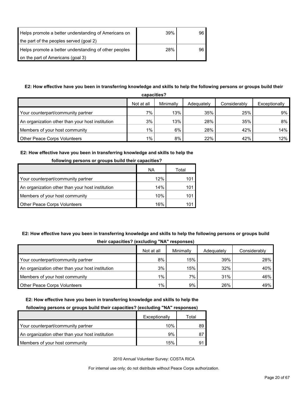| Helps promote a better understanding of Americans on  | 39% | 96 |
|-------------------------------------------------------|-----|----|
| the part of the peoples served (goal 2)               |     |    |
| Helps promote a better understanding of other peoples | 28% | 96 |
| on the part of Americans (goal 3)                     |     |    |

## **E2: How effective have you been in transferring knowledge and skills to help the following persons or groups build their**

| capacities?                                      |            |           |            |              |               |  |  |  |
|--------------------------------------------------|------------|-----------|------------|--------------|---------------|--|--|--|
|                                                  | Not at all | Minimally | Adequately | Considerably | Exceptionally |  |  |  |
| Your counterpart/community partner               | 7%         | 13%       | 35%        | 25%          | $9\%$         |  |  |  |
| An organization other than your host institution | 3%         | 13%       | 28%        | 35%          | 8%            |  |  |  |
| Members of your host community                   | $1\%$      | 6%        | 28%        | 42%          | 14% l         |  |  |  |
| <b>Other Peace Corps Volunteers</b>              | $1\%$ .    | 8%        | 22%        | 42%          | $12\%$        |  |  |  |

#### **E2: How effective have you been in transferring knowledge and skills to help the**

| <b>TOROWING DETSURE OF GLOUPS DUNG THEIR CAPACITIES I</b> |     |       |  |  |  |  |
|-----------------------------------------------------------|-----|-------|--|--|--|--|
|                                                           | ΝA  | Total |  |  |  |  |
| Your counterpart/community partner                        | 12% | 101   |  |  |  |  |
| An organization other than your host institution          | 14% | 101   |  |  |  |  |
| Members of your host community                            | 10% | 101   |  |  |  |  |
| <b>Other Peace Corps Volunteers</b>                       | 16% |       |  |  |  |  |

## **following persons or groups build their capacities?**

## **E2: How effective have you been in transferring knowledge and skills to help the following persons or groups build their capacities? (excluding "NA" responses)**

|                                                  | -          |           |            |              |
|--------------------------------------------------|------------|-----------|------------|--------------|
|                                                  | Not at all | Minimally | Adequately | Considerably |
| Your counterpart/community partner               | 8%         | 15%       | 39%        | 28%          |
| An organization other than your host institution | 3%         | 15%       | 32%        | 40%          |
| Members of your host community                   | 1%         | 7%        | 31%        | 46%          |
| <b>Other Peace Corps Volunteers</b>              | 1%         | 9%        | 26%        | 49%          |

#### **E2: How effective have you been in transferring knowledge and skills to help the**

#### **following persons or groups build their capacities? (excluding "NA" responses)**

|                                                  | Exceptionally | Total |
|--------------------------------------------------|---------------|-------|
| Your counterpart/community partner               | 10%           |       |
| An organization other than your host institution | 9%            |       |
| Members of your host community                   | 15%           | g·    |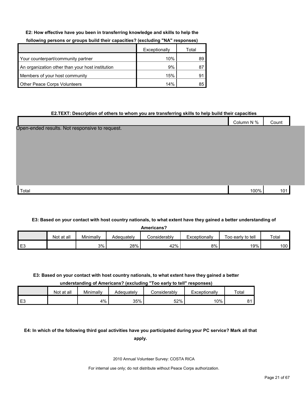#### **E2: How effective have you been in transferring knowledge and skills to help the**

|                                                  | Exceptionally | Total |
|--------------------------------------------------|---------------|-------|
| Your counterpart/community partner               | 10%           | 89    |
| An organization other than your host institution | 9%            | 87    |
| Members of your host community                   | 15%           | 91    |
| Other Peace Corps Volunteers                     | 14%           | 85    |

#### **following persons or groups build their capacities? (excluding "NA" responses)**

#### **E2.TEXT: Description of others to whom you are transferring skills to help build their capacities**

|                                                | Column N % | Count |  |
|------------------------------------------------|------------|-------|--|
| Open-ended results. Not responsive to request. |            |       |  |
|                                                |            |       |  |
|                                                |            |       |  |
|                                                |            |       |  |
|                                                |            |       |  |
|                                                |            |       |  |
|                                                |            |       |  |
| Total                                          | 100%       | 101   |  |

#### **E3: Based on your contact with host country nationals, to what extent have they gained a better understanding of**

| <b>Americans?</b> |            |           |            |              |               |                   |       |  |  |
|-------------------|------------|-----------|------------|--------------|---------------|-------------------|-------|--|--|
|                   | Not at all | Minimally | Adequately | Considerably | Exceptionally | Too early to tell | Total |  |  |
| E <sub>3</sub>    |            | 3%        | 28%        | 42%          | 8%            | 19%               | 100   |  |  |

#### **E3: Based on your contact with host country nationals, to what extent have they gained a better**

**understanding of Americans? (excluding "Too early to tell" responses)**

|                | Not at all | Minimally | Adeauatelv | onsiderablyٽ | Exceptionally | Total   |
|----------------|------------|-----------|------------|--------------|---------------|---------|
| E <sub>3</sub> |            | 4%        | 35%        | 52%          | 10%           | 04<br>ັ |

## **E4: In which of the following third goal activities have you participated during your PC service? Mark all that**

**apply.**

2010 Annual Volunteer Survey: COSTA RICA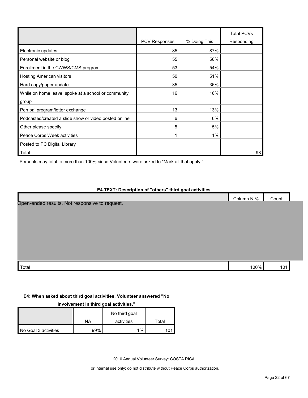|                                                       | <b>PCV Responses</b> | % Doing This | <b>Total PCVs</b><br>Responding |
|-------------------------------------------------------|----------------------|--------------|---------------------------------|
| Electronic updates                                    | 85                   | 87%          |                                 |
| Personal website or blog                              | 55                   | 56%          |                                 |
| Enrollment in the CWWS/CMS program                    | 53                   | 54%          |                                 |
| <b>Hosting American visitors</b>                      | 50                   | 51%          |                                 |
| Hard copy/paper update                                | 35                   | 36%          |                                 |
| While on home leave, spoke at a school or community   | 16                   | 16%          |                                 |
| group                                                 |                      |              |                                 |
| Pen pal program/letter exchange                       | 13                   | 13%          |                                 |
| Podcasted/created a slide show or video posted online | 6                    | 6%           |                                 |
| Other please specify                                  | 5                    | 5%           |                                 |
| Peace Corps Week activities                           |                      | 1%           |                                 |
| Posted to PC Digital Library                          |                      |              |                                 |
| Total                                                 |                      |              | 98                              |

Percents may total to more than 100% since Volunteers were asked to "Mark all that apply."

## **E4.TEXT: Description of "others" third goal activities**

|                                                | Column N % | Count |  |
|------------------------------------------------|------------|-------|--|
| Open-ended results. Not responsive to request. |            |       |  |
|                                                |            |       |  |
|                                                |            |       |  |
|                                                |            |       |  |
|                                                |            |       |  |
|                                                |            |       |  |
|                                                |            |       |  |
|                                                |            |       |  |
|                                                |            |       |  |
|                                                |            |       |  |
| Total                                          | 100%       | 101   |  |

### **E4: When asked about third goal activities, Volunteer answered "No**

#### **involvement in third goal activities."**

|                      | ΝA  | No third goal<br>activities | Total |
|----------------------|-----|-----------------------------|-------|
| No Goal 3 activities | 99% | 1%                          |       |

2010 Annual Volunteer Survey: COSTA RICA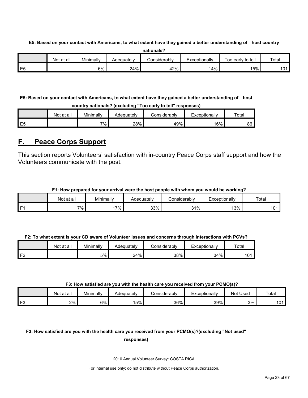**E5: Based on your contact with Americans, to what extent have they gained a better understanding of host country** 

|    | nationals? |           |            |              |               |                   |       |  |  |  |  |  |  |  |
|----|------------|-----------|------------|--------------|---------------|-------------------|-------|--|--|--|--|--|--|--|
|    | Not at all | Minimally | Adequatelv | Considerablv | Exceptionally | Too early to tell | Total |  |  |  |  |  |  |  |
| E5 |            | 6%        | 24%        | 42%          | 14%           | $15\%$            | 101   |  |  |  |  |  |  |  |

**E5: Based on your contact with Americans, to what extent have they gained a better understanding of host country nationals? (excluding "Too early to tell" responses)**

|                | Not at all | Minimally | Adequatelv | `onsiderablv | -xceptionally | $\tau$ otai |
|----------------|------------|-----------|------------|--------------|---------------|-------------|
| E <sub>5</sub> |            | $7\%$ .   | 28%        | 49%          | 6%            | 86          |

## <span id="page-22-0"></span>**F. Peace Corps Support**

This section reports Volunteers' satisfaction with in-country Peace Corps staff support and how the Volunteers communicate with the post.

| F1: How prepared for your arrival were the host people with whom you would be working? |
|----------------------------------------------------------------------------------------|
|----------------------------------------------------------------------------------------|

| Not at all | Minimally | Adequatelv | . .<br>Considerablv | Exceptionally | Total |
|------------|-----------|------------|---------------------|---------------|-------|
| $7\%$      | $7\%$     | 33%        | 31%                 | 13%           | 101   |

|    | Not at all | Minimally | Adequatelv | Considerablv | Exceptionally | Total |
|----|------------|-----------|------------|--------------|---------------|-------|
| ЕS |            | 5%        | 24%        | 38%          | 34%           | 101   |

#### **F3: How satisfied are you with the health care you received from your PCMO(s)?**

|                | Not at all | Minimallv | Adequatelv | onsiderablyٽ | Exceptionally | Used<br>Not | Total    |
|----------------|------------|-----------|------------|--------------|---------------|-------------|----------|
| r <sub>o</sub> | 2%         | 6%        | 15%        | 36%          | 39%           | 3%          | 101<br>U |

## **F3: How satisfied are you with the health care you received from your PCMO(s)?(excluding "Not used" responses)**

2010 Annual Volunteer Survey: COSTA RICA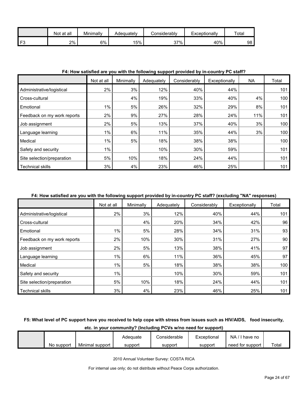|                | all<br>Not at | Minimally | Adequatelv | <b>Considerably</b> | Exceptionally | Total |
|----------------|---------------|-----------|------------|---------------------|---------------|-------|
| F <sub>3</sub> | 2%            | 5%        | 5%         | 37%                 | 40%           | 98    |

#### **F4: How satisfied are you with the following support provided by in-country PC staff?**

|                             | Not at all | Minimally | Adequately | Considerably | Exceptionally | NA  | Total |
|-----------------------------|------------|-----------|------------|--------------|---------------|-----|-------|
| Administrative/logistical   | 2%         | 3%        | 12%        | 40%          | 44%           |     | 101   |
| Cross-cultural              |            | 4%        | 19%        | 33%          | 40%           | 4%  | 100   |
| Emotional                   | 1%         | 5%        | 26%        | 32%          | 29%           | 8%  | 101   |
| Feedback on my work reports | 2%         | 9%        | 27%        | 28%          | 24%           | 11% | 101   |
| Job assignment              | 2%         | 5%        | 13%        | 37%          | 40%           | 3%  | 100   |
| Language learning           | 1%         | 6%        | 11%        | 35%          | 44%           | 3%  | 100   |
| Medical                     | $1\%$      | 5%        | 18%        | 38%          | 38%           |     | 100   |
| Safety and security         | 1%         |           | 10%        | 30%          | 59%           |     | 101   |
| Site selection/preparation  | 5%         | 10%       | 18%        | 24%          | 44%           |     | 101   |
| <b>Technical skills</b>     | 3%         | 4%        | 23%        | 46%          | 25%           |     | 101   |

#### **F4: How satisfied are you with the following support provided by in-country PC staff? (excluding "NA" responses)**

|                             | Not at all | Minimally | Adequately | Considerably | Exceptionally | Total |
|-----------------------------|------------|-----------|------------|--------------|---------------|-------|
| Administrative/logistical   | 2%         | 3%        | 12%        | 40%          | 44%           | 101   |
| Cross-cultural              |            | 4%        | 20%        | 34%          | 42%           | 96    |
| Emotional                   | $1\%$      | 5%        | 28%        | 34%          | 31%           | 93    |
| Feedback on my work reports | 2%         | 10%       | 30%        | 31%          | 27%           | 90    |
| Job assignment              | 2%         | 5%        | 13%        | 38%          | 41%           | 97    |
| Language learning           | 1%         | 6%        | 11%        | 36%          | 45%           | 97    |
| Medical                     | $1\%$      | 5%        | 18%        | 38%          | 38%           | 100   |
| Safety and security         | $1\%$      |           | 10%        | 30%          | 59%           | 101   |
| Site selection/preparation  | 5%         | 10%       | 18%        | 24%          | 44%           | 101   |
| <b>Technical skills</b>     | 3%         | 4%        | 23%        | 46%          | 25%           | 101   |

## **F5: What level of PC support have you received to help cope with stress from issues such as HIV/AIDS, food insecurity,**

| etc. in your community? (Including PCVs w/no need for support) |            |                 |          |              |             |                  |       |  |  |  |  |  |
|----------------------------------------------------------------|------------|-----------------|----------|--------------|-------------|------------------|-------|--|--|--|--|--|
|                                                                |            |                 | Adequate | Considerable | Exceptional | $NA / I$ have no |       |  |  |  |  |  |
|                                                                | No support | Minimal support | support  | support      | support     | need for support | Total |  |  |  |  |  |

2010 Annual Volunteer Survey: COSTA RICA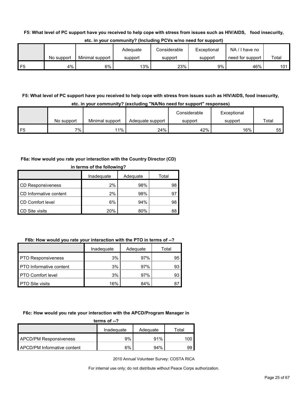#### **F5: What level of PC support have you received to help cope with stress from issues such as HIV/AIDS, food insecurity,**

|                |            |                 | Adeauate | Considerable | Exceptional | $NA / I$ have no |       |
|----------------|------------|-----------------|----------|--------------|-------------|------------------|-------|
|                | No support | Minimal support | support  | support      | support     | need for support | Total |
| F <sub>5</sub> | 4%         | 6%              | 13%      | 23%          | 9%          | 46%              | 101   |

**etc. in your community? (Including PCVs w/no need for support)**

## **F5: What level of PC support have you received to help cope with stress from issues such as HIV/AIDS, food insecurity, etc. in your community? (excluding "NA/No need for support" responses)**

|    |            |                 |                  | Considerable | Exceptional |       |
|----|------------|-----------------|------------------|--------------|-------------|-------|
|    | No support | Minimal support | Adequate support | support      | support     | Total |
| F5 | 7%         | $11\%$          | 24%              | 42%          | 16%         | 55    |

#### **F6a: How would you rate your interaction with the Country Director (CD)**

| in terms of the following? |            |          |       |  |  |
|----------------------------|------------|----------|-------|--|--|
|                            | Inadequate | Adequate | Total |  |  |
| <b>CD Responsiveness</b>   | 2%         | 98%      | 98    |  |  |
| CD Informative content     | 2%         | 98%      | 97    |  |  |
| CD Comfort level           | 6%         | 94%      | 98    |  |  |
| CD Site visits             | 20%        | 80%      | 88    |  |  |

## **F6b: How would you rate your interaction with the PTO in terms of --?**

|                                | Inadequate | Adequate | Total |
|--------------------------------|------------|----------|-------|
| <b>PTO Responsiveness</b>      | 3%         | 97%      | 95    |
| <b>PTO</b> Informative content | 3%         | 97%      | 93    |
| <b>PTO Comfort level</b>       | 3%         | 97%      | 93    |
| <b>PTO Site visits</b>         | 16%        | 84%      |       |

#### **F6c: How would you rate your interaction with the APCD/Program Manager in**

| terms of $-2$                      |            |          |       |  |  |
|------------------------------------|------------|----------|-------|--|--|
|                                    | Inadequate | Adequate | Total |  |  |
| <b>APCD/PM Responsiveness</b>      | 9%         | 91%      | 100.  |  |  |
| <b>APCD/PM Informative content</b> | 6%         | 94%      | 99    |  |  |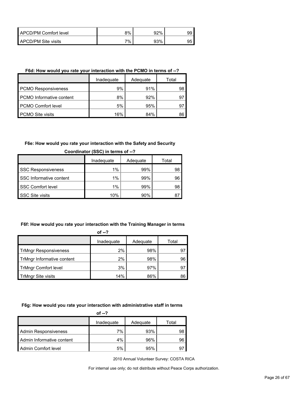| APCD/PM Comfort level | 8% | 92% | 99 |
|-----------------------|----|-----|----|
| APCD/PM Site visits   | 7% | 93% | 95 |

#### **F6d: How would you rate your interaction with the PCMO in terms of --?**

|                                 | Inadeguate | Adequate | Total |
|---------------------------------|------------|----------|-------|
| <b>PCMO Responsiveness</b>      | 9%         | 91%      | 98    |
| <b>PCMO</b> Informative content | 8%         | 92%      | 97    |
| PCMO Comfort level              | 5%         | 95%      | 97    |
| <b>PCMO Site visits</b>         | 16%        | 84%      | 86    |

#### **F6e: How would you rate your interaction with the Safety and Security**

|                           | Inadequate | Adequate | Total |
|---------------------------|------------|----------|-------|
| <b>SSC Responsiveness</b> | 1%         | 99%      | 98    |
| SSC Informative content   | 1%         | 99%      | 96    |
| <b>SSC Comfort level</b>  | 1%         | 99%      | 98    |
| <b>SSC Site visits</b>    | 10%        | 90%      |       |

## **Coordinator (SSC) in terms of --?**

### **F6f: How would you rate your interaction with the Training Manager in terms**

|                              | Inadequate | Adequate | Total |
|------------------------------|------------|----------|-------|
| <b>TrMngr Responsiveness</b> | $2\%$      | 98%      | 97    |
| TrMngr Informative content   | $2\%$      | 98%      | 96    |
| <b>TrMngr Comfort level</b>  | 3%         | 97%      | 97    |
| <b>TrMngr Site visits</b>    | 14%        | 86%      | 86    |

#### **F6g: How would you rate your interaction with administrative staff in terms**

| of $-2$                     |            |          |       |  |  |
|-----------------------------|------------|----------|-------|--|--|
|                             | Inadequate | Adequate | Total |  |  |
| <b>Admin Responsiveness</b> | 7%         | 93%      | 98    |  |  |
| Admin Informative content   | 4%         | 96%      | 96    |  |  |
| Admin Comfort level         | 5%         | 95%      | 97    |  |  |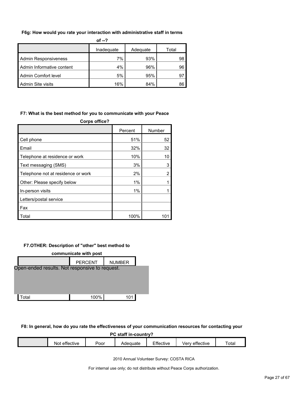#### **F6g: How would you rate your interaction with administrative staff in terms**

| of $-2$                     |            |          |       |  |  |  |
|-----------------------------|------------|----------|-------|--|--|--|
|                             | Inadequate | Adequate | Total |  |  |  |
| <b>Admin Responsiveness</b> | 7%         | 93%      | 98    |  |  |  |
| Admin Informative content   | 4%         | 96%      | 96    |  |  |  |
| Admin Comfort level         | 5%         | 95%      | 97    |  |  |  |
| Admin Site visits           | 16%        | 84%      | 86    |  |  |  |

#### **F7: What is the best method for you to communicate with your Peace**

| <b>Corps office?</b>               |         |                |
|------------------------------------|---------|----------------|
|                                    | Percent | Number         |
| Cell phone                         | 51%     | 52             |
| Email                              | 32%     | 32             |
| Telephone at residence or work     | 10%     | 10             |
| Text messaging (SMS)               | 3%      | 3              |
| Telephone not at residence or work | 2%      | $\overline{2}$ |
| Other: Please specify below        | 1%      |                |
| In-person visits                   | 1%      |                |
| Letters/postal service             |         |                |
| Fax                                |         |                |
| Total                              | 100%    |                |

#### **F7.OTHER: Description of "other" best method to**

| communicate with post                          |                |               |  |  |  |  |  |
|------------------------------------------------|----------------|---------------|--|--|--|--|--|
|                                                | <b>PERCENT</b> | <b>NUMBER</b> |  |  |  |  |  |
| Open-ended results. Not responsive to request. |                |               |  |  |  |  |  |
|                                                |                |               |  |  |  |  |  |
|                                                |                |               |  |  |  |  |  |
|                                                |                |               |  |  |  |  |  |
| Total                                          | 100%           | 101           |  |  |  |  |  |
|                                                |                |               |  |  |  |  |  |

#### **F8: In general, how do you rate the effectiveness of your communication resources for contacting your**

**PC staff in-country?**

| $ -$<br>-<br>`ota.<br>$- - -$<br>effective<br><br>:ttective<br><sup>*</sup> ffective<br>ette<br>N<br>oor<br>iuale<br><b>CIV</b> |  |  |  |  |
|---------------------------------------------------------------------------------------------------------------------------------|--|--|--|--|
|                                                                                                                                 |  |  |  |  |

2010 Annual Volunteer Survey: COSTA RICA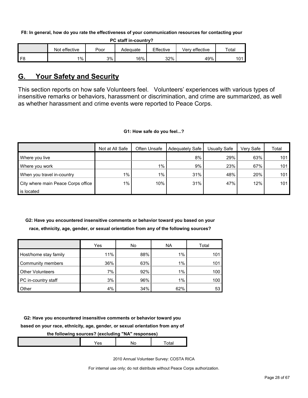**F8: In general, how do you rate the effectiveness of your communication resources for contacting your** 

| PC staff in-country? |  |
|----------------------|--|
|----------------------|--|

|    | effective<br>Not | Poor | Adeɑuate | Effective | Very effective | Total |
|----|------------------|------|----------|-----------|----------------|-------|
| F8 | 1%               | 3%   | 16%      | 32%       | 49%            | 101   |

## <span id="page-27-0"></span>**G. Your Safety and Security**

This section reports on how safe Volunteers feel. Volunteers' experiences with various types of insensitive remarks or behaviors, harassment or discrimination, and crime are summarized, as well as whether harassment and crime events were reported to Peace Corps.

#### **G1: How safe do you feel...?**

|                                    | Not at All Safe | Often Unsafe | <b>Adequately Safe</b> | Usually Safe | Verv Safe | Total |
|------------------------------------|-----------------|--------------|------------------------|--------------|-----------|-------|
| Where you live                     |                 |              | 8%                     | 29%          | 63%       | 101   |
| Where you work                     |                 | $1\%$        | $9\%$                  | 23%          | 67%       | 101   |
| When you travel in-country         | 1%              | $1\%$        | 31%                    | 48%          | 20%       | 101   |
| City where main Peace Corps office | 1%              | 10%          | 31%                    | 47%          | 12%       | 101   |
| is located                         |                 |              |                        |              |           |       |

## **G2: Have you encountered insensitive comments or behavior toward you based on your race, ethnicity, age, gender, or sexual orientation from any of the following sources?**

|                         | Yes | No  | ΝA  | Total |
|-------------------------|-----|-----|-----|-------|
| Host/home stay family   | 11% | 88% | 1%  | 101   |
| Community members       | 36% | 63% | 1%  | 101   |
| <b>Other Volunteers</b> | 7%  | 92% | 1%  | 100   |
| PC in-country staff     | 3%  | 96% | 1%  | 100   |
| Other                   | 4%  | 34% | 62% | 53    |

**G2: Have you encountered insensitive comments or behavior toward you** 

**based on your race, ethnicity, age, gender, or sexual orientation from any of** 

## **the following sources? (excluding "NA" responses)**

|--|--|--|--|--|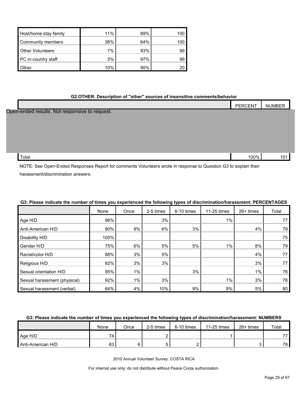| Host/home stay family   | 11% | 89% | 100 |
|-------------------------|-----|-----|-----|
| Community members       | 36% | 64% | 100 |
| <b>Other Volunteers</b> | 7%  | 93% | 99  |
| PC in-country staff     | 3%  | 97% | 99  |
| Other                   | 10% | 90% |     |

#### **G2.OTHER: Description of "other" sources of insensitive comments/behavior**

|                                                | PERCENT | <b>NUMBER</b> |
|------------------------------------------------|---------|---------------|
| Open-ended results. Not responsive to request. |         |               |
|                                                |         |               |
|                                                |         |               |
|                                                |         |               |
|                                                |         |               |
|                                                |         |               |
| Total                                          | 100%    | 101           |

NOTE: See Open-Ended Responses Report for comments Volunteers wrote in response to Question G3 to explain their harassment/discrimination answers.

|                              | None | Once  | 2-5 times | 6-10 times | 11-25 times | $26+$ times | Total |
|------------------------------|------|-------|-----------|------------|-------------|-------------|-------|
| Age H/D                      | 96%  |       | 3%        |            | $1\%$       |             | 77    |
| Anti-American H/D            | 80%  | 8%    | 6%        | 3%         |             | 4%          | 79    |
| Disability H/D               | 100% |       |           |            |             |             | 75    |
| Gender H/D                   | 75%  | 6%    | 5%        | 5%         | $1\%$       | 8%          | 79    |
| Racial/color H/D             | 88%  | 3%    | 5%        |            |             | 4%          | 77    |
| Religious H/D                | 92%  | 3%    | 3%        |            |             | 3%          | 77    |
| Sexual orientation H/D       | 95%  | 1%    |           | 3%         |             | $1\%$       | 76    |
| Sexual harassment (physical) | 92%  | $1\%$ | 3%        |            | 1%          | 3%          | 78    |
| Sexual harassment (verbal)   | 64%  | 4%    | 10%       | 9%         | 9%          | 5%          | 80    |

#### **G3: Please indicate the number of times you experienced the following types of discrimination/harassment: PERCENTAGES**

## **G3: Please indicate the number of times you experienced the following types of discrimination/harassment: NUMBERS**

|                   | None | Once | 2-5 times | 6-10 times | 11-25 times | $26+$ times | Total |
|-------------------|------|------|-----------|------------|-------------|-------------|-------|
| Age H/D           | 74   |      |           |            |             |             | 77    |
| Anti-American H/D | 63   |      |           |            |             | ັ           | 79 I  |

2010 Annual Volunteer Survey: COSTA RICA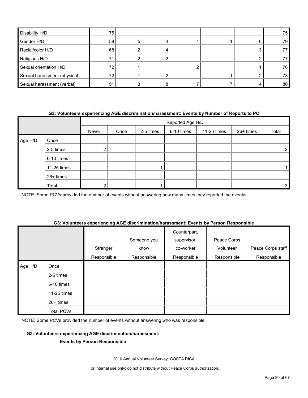| Disability H/D               | 75  |  |  |   | 75  |
|------------------------------|-----|--|--|---|-----|
| Gender H/D                   | 59  |  |  | 6 | 79  |
| Racial/color H/D             | 68  |  |  |   | 77  |
| Religious H/D                |     |  |  |   | 77. |
| Sexual orientation H/D       | 72. |  |  |   | 76  |
| Sexual harassment (physical) | 72  |  |  |   | 78  |
| Sexual harassment (verbal)   | 51  |  |  |   | 80  |

#### **G3: Volunteers experiencing AGE discrimination/harassment: Events by Number of Reports to PC**

|         |             |       |      |           | Reported Age H/D |             |           |       |
|---------|-------------|-------|------|-----------|------------------|-------------|-----------|-------|
|         |             | Never | Once | 2-5 times | 6-10 times       | 11-25 times | 26+ times | Total |
| Age H/D | Once        |       |      |           |                  |             |           |       |
|         | 2-5 times   |       |      |           |                  |             |           |       |
|         | 6-10 times  |       |      |           |                  |             |           |       |
|         | 11-25 times |       |      |           |                  |             |           |       |
|         | 26+ times   |       |      |           |                  |             |           |       |
|         | Total       |       |      |           |                  |             |           | 3     |

NOTE: Some PCVs provided the number of events without answering how many times they reported the event/s.

#### **G3: Volunteers experiencing AGE discrimination/harassment: Events by Person Responsible**

|         |             | Stranger    | Someone you<br>know | Counterpart,<br>supervisor,<br>co-worker | Peace Corps<br>Volunteer | Peace Corps staff |
|---------|-------------|-------------|---------------------|------------------------------------------|--------------------------|-------------------|
|         |             | Responsible | Responsible         | Responsible                              | Responsible              | Responsible       |
| Age H/D | Once        |             |                     |                                          |                          |                   |
|         | 2-5 times   |             |                     |                                          |                          |                   |
|         | 6-10 times  |             |                     |                                          |                          |                   |
|         | 11-25 times |             |                     |                                          |                          |                   |
|         | $26+$ times |             |                     |                                          |                          |                   |
|         | Total PCVs  |             |                     |                                          |                          |                   |

NOTE: Some PCVs provided the number of events without answering who was responsible.

#### **G3: Volunteers experiencing AGE discrimination/harassment:**

#### **Events by Person Responsible**

2010 Annual Volunteer Survey: COSTA RICA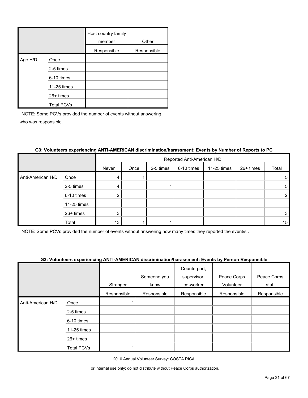|         |                   | Host country family<br>member | Other       |
|---------|-------------------|-------------------------------|-------------|
|         |                   | Responsible                   | Responsible |
| Age H/D | Once              |                               |             |
|         | 2-5 times         |                               |             |
|         | 6-10 times        |                               |             |
|         | 11-25 times       |                               |             |
|         | $26+$ times       |                               |             |
|         | <b>Total PCVs</b> |                               |             |

|                   |             |       | Reported Anti-American H/D |           |            |             |           |                |  |  |
|-------------------|-------------|-------|----------------------------|-----------|------------|-------------|-----------|----------------|--|--|
|                   |             | Never | Once                       | 2-5 times | 6-10 times | 11-25 times | 26+ times | Total          |  |  |
| Anti-American H/D | Once        | 4     |                            |           |            |             |           | 5              |  |  |
|                   | 2-5 times   | 4     |                            |           |            |             |           | 5              |  |  |
|                   | 6-10 times  | ◠     |                            |           |            |             |           | $\overline{2}$ |  |  |
|                   | 11-25 times |       |                            |           |            |             |           |                |  |  |
|                   | 26+ times   | 3     |                            |           |            |             |           | 3              |  |  |
|                   | Total       | 13    |                            |           |            |             |           | 15             |  |  |

#### **G3: Volunteers experiencing ANTI-AMERICAN discrimination/harassment: Events by Number of Reports to PC**

NOTE: Some PCVs provided the number of events without answering how many times they reported the event/s .

#### **G3: Volunteers experiencing ANTI-AMERICAN discrimination/harassment: Events by Person Responsible**

|                   |             |             |             | Counterpart, |             |             |
|-------------------|-------------|-------------|-------------|--------------|-------------|-------------|
|                   |             |             | Someone you | supervisor,  | Peace Corps | Peace Corps |
|                   |             | Stranger    | know        | co-worker    | Volunteer   | staff       |
|                   |             | Responsible | Responsible | Responsible  | Responsible | Responsible |
| Anti-American H/D | Once        |             |             |              |             |             |
|                   | 2-5 times   |             |             |              |             |             |
|                   | 6-10 times  |             |             |              |             |             |
|                   | 11-25 times |             |             |              |             |             |
|                   | $26+$ times |             |             |              |             |             |
|                   | Total PCVs  |             |             |              |             |             |

2010 Annual Volunteer Survey: COSTA RICA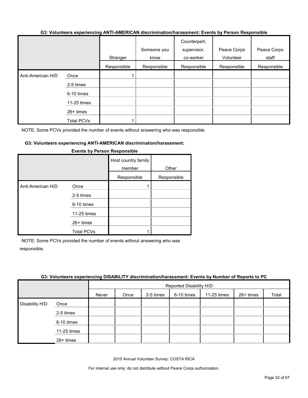#### **G3: Volunteers experiencing ANTI-AMERICAN discrimination/harassment: Events by Person Responsible**

|                   |                   | Stranger    | Someone you<br>know | Counterpart,<br>supervisor,<br>co-worker | Peace Corps<br>Volunteer | Peace Corps<br>staff |
|-------------------|-------------------|-------------|---------------------|------------------------------------------|--------------------------|----------------------|
|                   |                   | Responsible | Responsible         | Responsible                              | Responsible              | Responsible          |
| Anti-American H/D | Once              |             |                     |                                          |                          |                      |
|                   | 2-5 times         |             |                     |                                          |                          |                      |
|                   | 6-10 times        |             |                     |                                          |                          |                      |
|                   | 11-25 times       |             |                     |                                          |                          |                      |
|                   | 26+ times         |             |                     |                                          |                          |                      |
|                   | <b>Total PCVs</b> |             |                     |                                          |                          |                      |

NOTE: Some PCVs provided the number of events without answering who was responsible.

#### **G3: Volunteers experiencing ANTI-AMERICAN discrimination/harassment:**

|                   |                                                                                    | Host country family<br>member<br>Responsible | Other<br>Responsible |
|-------------------|------------------------------------------------------------------------------------|----------------------------------------------|----------------------|
| Anti-American H/D | Once<br>2-5 times<br>6-10 times<br>11-25 times<br>$26+$ times<br><b>Total PCVs</b> |                                              |                      |

#### **Events by Person Responsible**

NOTE: Some PCVs provided the number of events without answering who was responsible.

#### **G3: Volunteers experiencing DISABILITY discrimination/harassment: Events by Number of Reports to PC**

|                |             |       | Reported Disability H/D |           |            |             |           |       |  |
|----------------|-------------|-------|-------------------------|-----------|------------|-------------|-----------|-------|--|
|                |             | Never | Once                    | 2-5 times | 6-10 times | 11-25 times | 26+ times | Total |  |
| Disability H/D | Once        |       |                         |           |            |             |           |       |  |
|                | 2-5 times   |       |                         |           |            |             |           |       |  |
|                | 6-10 times  |       |                         |           |            |             |           |       |  |
|                | 11-25 times |       |                         |           |            |             |           |       |  |
|                | 26+ times   |       |                         |           |            |             |           |       |  |

2010 Annual Volunteer Survey: COSTA RICA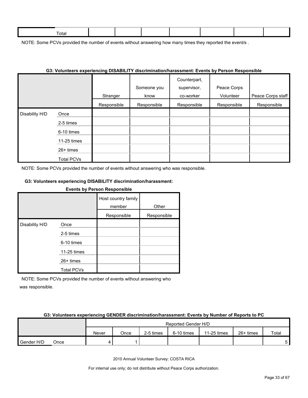| ctal |  |  |  |  |
|------|--|--|--|--|
|      |  |  |  |  |

NOTE: Some PCVs provided the number of events without answering how many times they reported the event/s.

|                |                   |             | G3: VOIUNteers experiencing DISABILITY discrimination/narassment: Events by Person Responsible |                                          |                          |                   |
|----------------|-------------------|-------------|------------------------------------------------------------------------------------------------|------------------------------------------|--------------------------|-------------------|
|                |                   | Stranger    | Someone you<br>know                                                                            | Counterpart,<br>supervisor,<br>co-worker | Peace Corps<br>Volunteer | Peace Corps staff |
|                |                   | Responsible | Responsible                                                                                    | Responsible                              | Responsible              | Responsible       |
| Disability H/D | Once              |             |                                                                                                |                                          |                          |                   |
|                | 2-5 times         |             |                                                                                                |                                          |                          |                   |
|                | 6-10 times        |             |                                                                                                |                                          |                          |                   |
|                | 11-25 times       |             |                                                                                                |                                          |                          |                   |
|                | 26+ times         |             |                                                                                                |                                          |                          |                   |
|                | <b>Total PCVs</b> |             |                                                                                                |                                          |                          |                   |

#### **G3: Volunteers experiencing DISABILITY discrimination/harassment: Events by Person Responsible**

NOTE: Some PCVs provided the number of events without answering who was responsible.

#### **G3: Volunteers experiencing DISABILITY discrimination/harassment:**

## **Events by Person Responsible** Host country family member Other Responsible Responsible Disability H/D Once 2-5 times 6-10 times 11-25 times 26+ times Total PCVs

NOTE: Some PCVs provided the number of events without answering who was responsible.

#### **G3: Volunteers experiencing GENDER discrimination/harassment: Events by Number of Reports to PC**

|            | Reported Gender H/D |       |      |           |            |             |             |       |
|------------|---------------------|-------|------|-----------|------------|-------------|-------------|-------|
|            |                     | Never | Once | 2-5 times | 6-10 times | 11-25 times | $26+$ times | Total |
| Gender H/D | Once                |       |      |           |            |             |             | 5.    |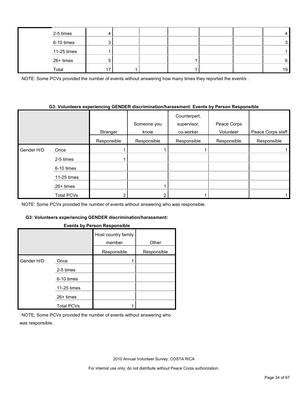| 2-5 times   |  |  |  |    |
|-------------|--|--|--|----|
| 6-10 times  |  |  |  |    |
| 11-25 times |  |  |  |    |
| 26+ times   |  |  |  | 6  |
| Total       |  |  |  | 19 |

NOTE: Some PCVs provided the number of events without answering how many times they reported the event/s.

#### **G3: Volunteers experiencing GENDER discrimination/harassment: Events by Person Responsible**

|            |             |             | Someone you | Counterpart,<br>supervisor, | Peace Corps |                   |
|------------|-------------|-------------|-------------|-----------------------------|-------------|-------------------|
|            |             | Stranger    | know        | co-worker                   | Volunteer   | Peace Corps staff |
|            |             | Responsible | Responsible | Responsible                 | Responsible | Responsible       |
| Gender H/D | Once        |             |             |                             |             |                   |
|            | 2-5 times   |             |             |                             |             |                   |
|            | 6-10 times  |             |             |                             |             |                   |
|            | 11-25 times |             |             |                             |             |                   |
|            | $26+$ times |             |             |                             |             |                   |
|            | Total PCVs  |             | າ           |                             |             |                   |

NOTE: Some PCVs provided the number of events without answering who was responsible.

#### **G3: Volunteers experiencing GENDER discrimination/harassment:**

#### **Events by Person Responsible**

|            |                   | --- <b>-</b> ------           |             |
|------------|-------------------|-------------------------------|-------------|
|            |                   | Host country family<br>member | Other       |
|            |                   | Responsible                   | Responsible |
| Gender H/D | Once              |                               |             |
|            | 2-5 times         |                               |             |
|            | 6-10 times        |                               |             |
|            | 11-25 times       |                               |             |
|            | 26+ times         |                               |             |
|            | <b>Total PCVs</b> |                               |             |

NOTE: Some PCVs provided the number of events without answering who was responsible.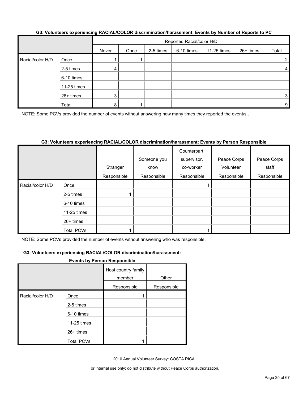#### **G3: Volunteers experiencing RACIAL/COLOR discrimination/harassment: Events by Number of Reports to PC**

|                  |             |       |      |           | Reported Racial/color H/D |               |           |       |  |
|------------------|-------------|-------|------|-----------|---------------------------|---------------|-----------|-------|--|
|                  |             | Never | Once | 2-5 times | 6-10 times                | $11-25$ times | 26+ times | Total |  |
| Racial/color H/D | Once        |       |      |           |                           |               |           | 2     |  |
|                  | 2-5 times   | 4     |      |           |                           |               |           | 4     |  |
|                  | 6-10 times  |       |      |           |                           |               |           |       |  |
|                  | 11-25 times |       |      |           |                           |               |           |       |  |
|                  | 26+ times   | 3     |      |           |                           |               |           | 3     |  |
|                  | Total       | 8     |      |           |                           |               |           | 9     |  |

NOTE: Some PCVs provided the number of events without answering how many times they reported the event/s.

#### **G3: Volunteers experiencing RACIAL/COLOR discrimination/harassment: Events by Person Responsible**

|                  |             | Stranger    | Someone you<br>know | Counterpart,<br>supervisor,<br>co-worker | Peace Corps<br>Volunteer | Peace Corps<br>staff |
|------------------|-------------|-------------|---------------------|------------------------------------------|--------------------------|----------------------|
|                  |             | Responsible | Responsible         | Responsible                              | Responsible              | Responsible          |
| Racial/color H/D | Once        |             |                     |                                          |                          |                      |
|                  | 2-5 times   |             |                     |                                          |                          |                      |
|                  | 6-10 times  |             |                     |                                          |                          |                      |
|                  | 11-25 times |             |                     |                                          |                          |                      |
|                  | $26+$ times |             |                     |                                          |                          |                      |
|                  | Total PCVs  |             |                     |                                          |                          |                      |

NOTE: Some PCVs provided the number of events without answering who was responsible.

#### **G3: Volunteers experiencing RACIAL/COLOR discrimination/harassment:**

#### **Events by Person Responsible**

|                  |                   | Host country family<br>member | Other       |
|------------------|-------------------|-------------------------------|-------------|
|                  |                   | Responsible                   | Responsible |
| Racial/color H/D | Once              |                               |             |
|                  | 2-5 times         |                               |             |
|                  | 6-10 times        |                               |             |
|                  | 11-25 times       |                               |             |
|                  | 26+ times         |                               |             |
|                  | <b>Total PCVs</b> |                               |             |

2010 Annual Volunteer Survey: COSTA RICA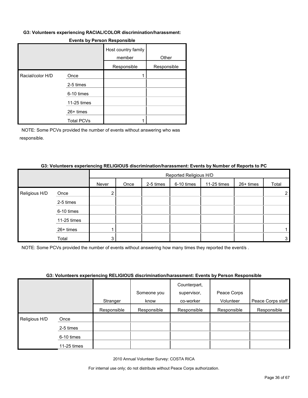#### **G3: Volunteers experiencing RACIAL/COLOR discrimination/harassment:**

|                  |                   | Host country family<br>member | Other       |
|------------------|-------------------|-------------------------------|-------------|
|                  |                   | Responsible                   | Responsible |
| Racial/color H/D | Once              |                               |             |
|                  | 2-5 times         |                               |             |
|                  | 6-10 times        |                               |             |
|                  | 11-25 times       |                               |             |
|                  | 26+ times         |                               |             |
|                  | <b>Total PCVs</b> |                               |             |

#### **Events by Person Responsible**

NOTE: Some PCVs provided the number of events without answering who was responsible.

#### **G3: Volunteers experiencing RELIGIOUS discrimination/harassment: Events by Number of Reports to PC**

|                                                     |       |       | Reported Religious H/D |           |            |             |           |       |  |
|-----------------------------------------------------|-------|-------|------------------------|-----------|------------|-------------|-----------|-------|--|
|                                                     |       | Never | Once                   | 2-5 times | 6-10 times | 11-25 times | 26+ times | Total |  |
| Religious H/D                                       | Once  |       |                        |           |            |             |           | າ     |  |
| 2-5 times<br>6-10 times<br>11-25 times<br>26+ times |       |       |                        |           |            |             |           |       |  |
|                                                     |       |       |                        |           |            |             |           |       |  |
|                                                     |       |       |                        |           |            |             |           |       |  |
|                                                     |       |       |                        |           |            |             |           |       |  |
|                                                     | Total | 3     |                        |           |            |             |           | 3     |  |

NOTE: Some PCVs provided the number of events without answering how many times they reported the event/s .

#### **G3: Volunteers experiencing RELIGIOUS discrimination/harassment: Events by Person Responsible**

|                    |             |             |             | Counterpart, |             |                   |
|--------------------|-------------|-------------|-------------|--------------|-------------|-------------------|
|                    |             |             | Someone you | supervisor,  | Peace Corps |                   |
|                    |             | Stranger    | know        | co-worker    | Volunteer   | Peace Corps staff |
|                    |             | Responsible | Responsible | Responsible  | Responsible | Responsible       |
| Religious H/D<br>I | Once        |             |             |              |             |                   |
|                    | 2-5 times   |             |             |              |             |                   |
|                    | 6-10 times  |             |             |              |             |                   |
|                    | 11-25 times |             |             |              |             |                   |

2010 Annual Volunteer Survey: COSTA RICA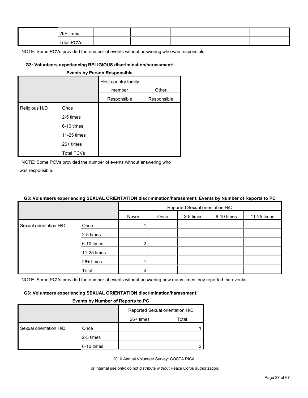| 26+ times  |  |  |  |
|------------|--|--|--|
| Total PCVs |  |  |  |

#### **G3: Volunteers experiencing RELIGIOUS discrimination/harassment:**

| <b>Events by Person Responsible</b> |                   |                               |             |  |  |  |  |
|-------------------------------------|-------------------|-------------------------------|-------------|--|--|--|--|
|                                     |                   | Host country family<br>member | Other       |  |  |  |  |
|                                     |                   | Responsible                   | Responsible |  |  |  |  |
| Religious H/D                       | Once              |                               |             |  |  |  |  |
|                                     | 2-5 times         |                               |             |  |  |  |  |
|                                     | 6-10 times        |                               |             |  |  |  |  |
|                                     | 11-25 times       |                               |             |  |  |  |  |
|                                     | 26+ times         |                               |             |  |  |  |  |
|                                     | <b>Total PCVs</b> |                               |             |  |  |  |  |

NOTE: Some PCVs provided the number of events without answering who was responsible.

#### **G3: Volunteers experiencing SEXUAL ORIENTATION discrimination/harassment: Events by Number of Reports to PC**

|                        |             | Reported Sexual orientation H/D                         |  |  |  |  |  |  |
|------------------------|-------------|---------------------------------------------------------|--|--|--|--|--|--|
|                        |             | 6-10 times<br>2-5 times<br>11-25 times<br>Never<br>Once |  |  |  |  |  |  |
| Sexual orientation H/D | Once        |                                                         |  |  |  |  |  |  |
|                        | 2-5 times   |                                                         |  |  |  |  |  |  |
|                        | 6-10 times  | 2                                                       |  |  |  |  |  |  |
|                        | 11-25 times |                                                         |  |  |  |  |  |  |
|                        | 26+ times   |                                                         |  |  |  |  |  |  |
|                        | Total       |                                                         |  |  |  |  |  |  |

NOTE: Some PCVs provided the number of events without answering how many times they reported the event/s.

#### **G3: Volunteers experiencing SEXUAL ORIENTATION discrimination/harassment:**

#### **Events by Number of Reports to PC**

|                        |            | Reported Sexual orientation H/D |       |
|------------------------|------------|---------------------------------|-------|
|                        |            | 26+ times                       | Total |
| Sexual orientation H/D | Once       |                                 |       |
|                        | 2-5 times  |                                 |       |
|                        | 6-10 times |                                 |       |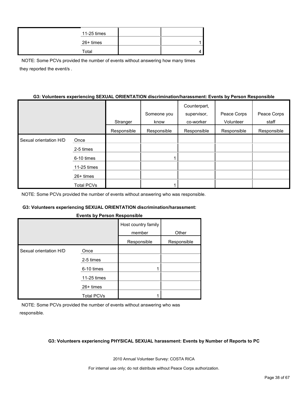|  | 11-25 times |  |
|--|-------------|--|
|  | 26+ times   |  |
|  | Total       |  |

NOTE: Some PCVs provided the number of events without answering how many times they reported the event/s .

#### **G3: Volunteers experiencing SEXUAL ORIENTATION discrimination/harassment: Events by Person Responsible**

|                        |                   |             |             | Counterpart, |             |             |
|------------------------|-------------------|-------------|-------------|--------------|-------------|-------------|
|                        |                   |             | Someone you | supervisor,  | Peace Corps | Peace Corps |
|                        |                   | Stranger    | know        | co-worker    | Volunteer   | staff       |
|                        |                   | Responsible | Responsible | Responsible  | Responsible | Responsible |
| Sexual orientation H/D | Once              |             |             |              |             |             |
|                        | 2-5 times         |             |             |              |             |             |
|                        | 6-10 times        |             |             |              |             |             |
|                        | 11-25 times       |             |             |              |             |             |
|                        | $26+$ times       |             |             |              |             |             |
|                        | <b>Total PCVs</b> |             |             |              |             |             |

NOTE: Some PCVs provided the number of events without answering who was responsible.

#### **G3: Volunteers experiencing SEXUAL ORIENTATION discrimination/harassment:**

#### **Events by Person Responsible**

|                        |                   | Host country family<br>member | Other       |
|------------------------|-------------------|-------------------------------|-------------|
|                        |                   | Responsible                   | Responsible |
| Sexual orientation H/D | Once              |                               |             |
|                        | 2-5 times         |                               |             |
|                        | 6-10 times        |                               |             |
|                        | 11-25 times       |                               |             |
|                        | 26+ times         |                               |             |
|                        | <b>Total PCVs</b> |                               |             |

NOTE: Some PCVs provided the number of events without answering who was responsible.

#### **G3: Volunteers experiencing PHYSICAL SEXUAL harassment: Events by Number of Reports to PC**

2010 Annual Volunteer Survey: COSTA RICA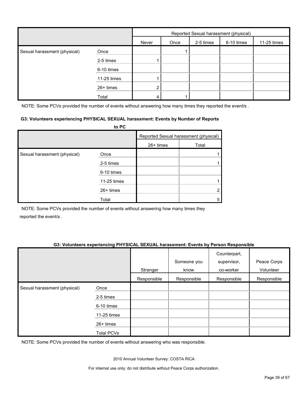|                              |             | Reported Sexual harassment (physical) |      |           |            |             |
|------------------------------|-------------|---------------------------------------|------|-----------|------------|-------------|
|                              |             | Never                                 | Once | 2-5 times | 6-10 times | 11-25 times |
| Sexual harassment (physical) | Once        |                                       |      |           |            |             |
|                              | 2-5 times   |                                       |      |           |            |             |
|                              | 6-10 times  |                                       |      |           |            |             |
|                              | 11-25 times |                                       |      |           |            |             |
|                              | 26+ times   |                                       |      |           |            |             |
|                              | Total       |                                       |      |           |            |             |

NOTE: Some PCVs provided the number of events without answering how many times they reported the event/s.

#### **G3: Volunteers experiencing PHYSICAL SEXUAL harassment: Events by Number of Reports**

|                              | to PC       |             |                                       |
|------------------------------|-------------|-------------|---------------------------------------|
|                              |             |             | Reported Sexual harassment (physical) |
|                              |             | $26+$ times | Total                                 |
| Sexual harassment (physical) | Once        |             |                                       |
|                              | 2-5 times   |             |                                       |
|                              | 6-10 times  |             |                                       |
|                              | 11-25 times |             |                                       |
|                              | 26+ times   |             |                                       |
|                              | Total       |             | 5                                     |

NOTE: Some PCVs provided the number of events without answering how many times they reported the event/s .

#### **G3: Volunteers experiencing PHYSICAL SEXUAL harassment: Events by Person Responsible**

|                              |                   | Stranger    | Someone you<br>know | Counterpart,<br>supervisor,<br>co-worker | Peace Corps<br>Volunteer |
|------------------------------|-------------------|-------------|---------------------|------------------------------------------|--------------------------|
|                              |                   | Responsible | Responsible         | Responsible                              | Responsible              |
| Sexual harassment (physical) | Once              |             |                     |                                          |                          |
|                              | 2-5 times         |             |                     |                                          |                          |
|                              | 6-10 times        |             |                     |                                          |                          |
|                              | 11-25 times       |             |                     |                                          |                          |
|                              | 26+ times         |             |                     |                                          |                          |
|                              | <b>Total PCVs</b> |             |                     |                                          |                          |

NOTE: Some PCVs provided the number of events without answering who was responsible.

2010 Annual Volunteer Survey: COSTA RICA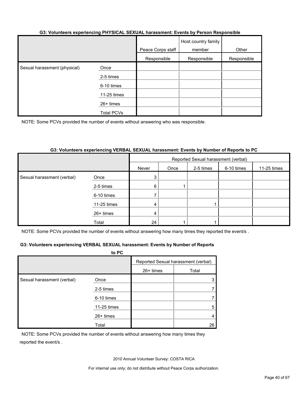#### **G3: Volunteers experiencing PHYSICAL SEXUAL harassment: Events by Person Responsible**

|                              |                   | Peace Corps staff | Host country family<br>member | Other       |
|------------------------------|-------------------|-------------------|-------------------------------|-------------|
|                              |                   | Responsible       | Responsible                   | Responsible |
| Sexual harassment (physical) | Once              |                   |                               |             |
|                              | 2-5 times         |                   |                               |             |
|                              | 6-10 times        |                   |                               |             |
|                              | 11-25 times       |                   |                               |             |
|                              | 26+ times         |                   |                               |             |
|                              | <b>Total PCVs</b> |                   |                               |             |

NOTE: Some PCVs provided the number of events without answering who was responsible.

#### **G3: Volunteers experiencing VERBAL SEXUAL harassment: Events by Number of Reports to PC**

|                            |             | Reported Sexual harassment (verbal) |      |           |            |             |
|----------------------------|-------------|-------------------------------------|------|-----------|------------|-------------|
|                            |             | Never                               | Once | 2-5 times | 6-10 times | 11-25 times |
| Sexual harassment (verbal) | Once        | 3                                   |      |           |            |             |
|                            | 2-5 times   | $6^{\circ}$                         |      |           |            |             |
|                            | 6-10 times  |                                     |      |           |            |             |
|                            | 11-25 times | 4                                   |      |           |            |             |
|                            | 26+ times   | 4                                   |      |           |            |             |
|                            | Total       | 24                                  |      |           |            |             |

NOTE: Some PCVs provided the number of events without answering how many times they reported the event/s.

#### **G3: Volunteers experiencing VERBAL SEXUAL harassment: Events by Number of Reports**

|                            | to PC       |           |                                     |
|----------------------------|-------------|-----------|-------------------------------------|
|                            |             |           | Reported Sexual harassment (verbal) |
|                            |             | 26+ times | Total                               |
| Sexual harassment (verbal) | Once        |           |                                     |
|                            | 2-5 times   |           |                                     |
|                            | 6-10 times  |           |                                     |
|                            | 11-25 times |           | 5                                   |
|                            | $26+$ times |           |                                     |
|                            | Total       |           | 26                                  |

NOTE: Some PCVs provided the number of events without answering how many times they reported the event/s .

2010 Annual Volunteer Survey: COSTA RICA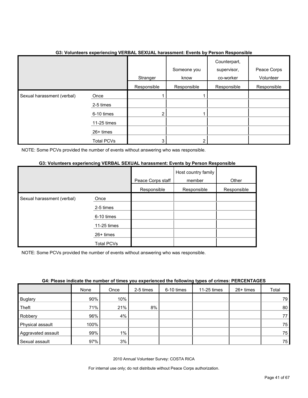|                            |                   | Stranger<br>Responsible | Someone you<br>know<br>Responsible | Counterpart,<br>supervisor,<br>co-worker<br>Responsible | Peace Corps<br>Volunteer<br>Responsible |
|----------------------------|-------------------|-------------------------|------------------------------------|---------------------------------------------------------|-----------------------------------------|
| Sexual harassment (verbal) | Once              |                         |                                    |                                                         |                                         |
|                            | 2-5 times         |                         |                                    |                                                         |                                         |
|                            | 6-10 times        | $\overline{2}$          |                                    |                                                         |                                         |
|                            | 11-25 times       |                         |                                    |                                                         |                                         |
|                            | 26+ times         |                         |                                    |                                                         |                                         |
|                            | <b>Total PCVs</b> | 3                       |                                    |                                                         |                                         |

## **G3: Volunteers experiencing VERBAL SEXUAL harassment: Events by Person Responsible**

NOTE: Some PCVs provided the number of events without answering who was responsible.

#### **G3: Volunteers experiencing VERBAL SEXUAL harassment: Events by Person Responsible**

|                            |                   | Peace Corps staff | Host country family<br>member | Other       |
|----------------------------|-------------------|-------------------|-------------------------------|-------------|
|                            |                   | Responsible       | Responsible                   | Responsible |
| Sexual harassment (verbal) | Once              |                   |                               |             |
|                            | 2-5 times         |                   |                               |             |
|                            | 6-10 times        |                   |                               |             |
|                            | 11-25 times       |                   |                               |             |
|                            | 26+ times         |                   |                               |             |
|                            | <b>Total PCVs</b> |                   |                               |             |

NOTE: Some PCVs provided the number of events without answering who was responsible.

| <u>our randomand monumer or mnod fou experienced monuming typed or enmoder methods</u> |      |       |           |            |             |           |       |
|----------------------------------------------------------------------------------------|------|-------|-----------|------------|-------------|-----------|-------|
|                                                                                        | None | Once  | 2-5 times | 6-10 times | 11-25 times | 26+ times | Total |
| <b>Buglary</b>                                                                         | 90%  | 10%   |           |            |             |           | 79    |
| Theft                                                                                  | 71%  | 21%   | 8%        |            |             |           | 80    |
| Robbery                                                                                | 96%  | 4%    |           |            |             |           | 77    |
| Physical assault                                                                       | 100% |       |           |            |             |           | 75    |
| Aggravated assault                                                                     | 99%  | $1\%$ |           |            |             |           | 75    |
| Sexual assault                                                                         | 97%  | 3%    |           |            |             |           | 75    |

#### **G4: Please indicate the number of times you experienced the following types of crimes: PERCENTAGES**

2010 Annual Volunteer Survey: COSTA RICA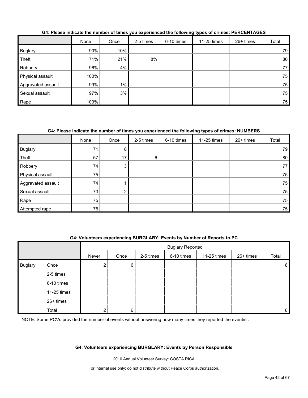|                    | None | Once  | 2-5 times | 6-10 times | 11-25 times | $26+$ times | Total |
|--------------------|------|-------|-----------|------------|-------------|-------------|-------|
| <b>Buglary</b>     | 90%  | 10%   |           |            |             |             | 79    |
| Theft              | 71%  | 21%   | 8%        |            |             |             | 80    |
| Robbery            | 96%  | 4%    |           |            |             |             | 77    |
| Physical assault   | 100% |       |           |            |             |             | 75    |
| Aggravated assault | 99%  | $1\%$ |           |            |             |             | 75    |
| Sexual assault     | 97%  | 3%    |           |            |             |             | 75    |
| Rape               | 100% |       |           |            |             |             | 75    |

#### **G4: Please indicate the number of times you experienced the following types of crimes: PERCENTAGES**

## **G4: Please indicate the number of times you experienced the following types of crimes: NUMBERS**

|                    | None | Once | 2-5 times | 6-10 times | 11-25 times | 26+ times | Total |
|--------------------|------|------|-----------|------------|-------------|-----------|-------|
| <b>Buglary</b>     | 71   | 8    |           |            |             |           | 79    |
| Theft              | 57   | 17   | $6 \,$    |            |             |           | 80    |
| Robbery            | 74   | 3    |           |            |             |           | 77    |
| Physical assault   | 75   |      |           |            |             |           | 75    |
| Aggravated assault | 74   |      |           |            |             |           | 75    |
| Sexual assault     | 73   | ົ    |           |            |             |           | 75    |
| Rape               | 75   |      |           |            |             |           | 75    |
| Attempted rape     | 75   |      |           |            |             |           | 75    |

#### **G4: Volunteers experiencing BURGLARY: Events by Number of Reports to PC**

|                |             |                | <b>Buglary Reported</b> |           |            |             |           |       |
|----------------|-------------|----------------|-------------------------|-----------|------------|-------------|-----------|-------|
|                |             | Never          | Once                    | 2-5 times | 6-10 times | 11-25 times | 26+ times | Total |
| <b>Buglary</b> | Once        | 2 <sub>1</sub> | 6                       |           |            |             |           | 8     |
|                | 2-5 times   |                |                         |           |            |             |           |       |
|                | 6-10 times  |                |                         |           |            |             |           |       |
|                | 11-25 times |                |                         |           |            |             |           |       |
|                | 26+ times   |                |                         |           |            |             |           |       |
|                | Total       | ◠              | 6                       |           |            |             |           | 8     |

NOTE: Some PCVs provided the number of events without answering how many times they reported the event/s.

#### **G4: Volunteers experiencing BURGLARY: Events by Person Responsible**

2010 Annual Volunteer Survey: COSTA RICA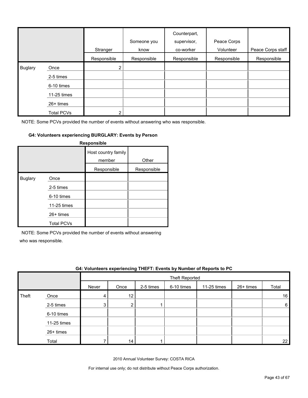|                |                   | Stranger       | Someone you<br>know | Counterpart,<br>supervisor,<br>co-worker | Peace Corps<br>Volunteer | Peace Corps staff |
|----------------|-------------------|----------------|---------------------|------------------------------------------|--------------------------|-------------------|
|                |                   | Responsible    | Responsible         | Responsible                              | Responsible              | Responsible       |
| <b>Buglary</b> | Once              | $\overline{2}$ |                     |                                          |                          |                   |
|                | 2-5 times         |                |                     |                                          |                          |                   |
|                | 6-10 times        |                |                     |                                          |                          |                   |
|                | 11-25 times       |                |                     |                                          |                          |                   |
|                | 26+ times         |                |                     |                                          |                          |                   |
|                | <b>Total PCVs</b> | 2              |                     |                                          |                          |                   |

#### **G4: Volunteers experiencing BURGLARY: Events by Person**

|                |                   | Responsible                   |             |
|----------------|-------------------|-------------------------------|-------------|
|                |                   | Host country family<br>member | Other       |
|                |                   | Responsible                   | Responsible |
| <b>Buglary</b> | Once              |                               |             |
|                | 2-5 times         |                               |             |
|                | 6-10 times        |                               |             |
|                | 11-25 times       |                               |             |
|                | $26+$ times       |                               |             |
|                | <b>Total PCVs</b> |                               |             |

NOTE: Some PCVs provided the number of events without answering

who was responsible.

|       | G4: Volunteers experiencing THEFT: Events by Number of Reports to PC |       |      |           |                |             |           |       |
|-------|----------------------------------------------------------------------|-------|------|-----------|----------------|-------------|-----------|-------|
|       |                                                                      |       |      |           | Theft Reported |             |           |       |
|       |                                                                      | Never | Once | 2-5 times | 6-10 times     | 11-25 times | 26+ times | Total |
| Theft | Once                                                                 | 4     | 12   |           |                |             |           | 16    |
|       | 2-5 times                                                            | 3     | റ    |           |                |             |           | 6     |
|       | 6-10 times                                                           |       |      |           |                |             |           |       |
|       | 11-25 times                                                          |       |      |           |                |             |           |       |
|       | $26+$ times                                                          |       |      |           |                |             |           |       |
|       | Total                                                                |       | 14   |           |                |             |           | 22    |

2010 Annual Volunteer Survey: COSTA RICA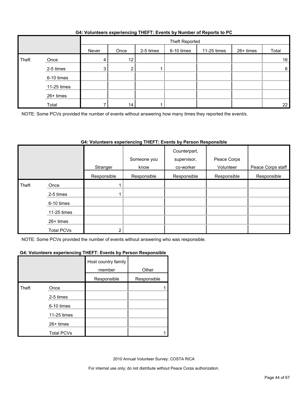|  | G4: Volunteers experiencing THEFT: Events by Number of Reports to PC |
|--|----------------------------------------------------------------------|
|  |                                                                      |

|       |             |       | Theft Reported |           |            |             |           |       |
|-------|-------------|-------|----------------|-----------|------------|-------------|-----------|-------|
|       |             | Never | Once           | 2-5 times | 6-10 times | 11-25 times | 26+ times | Total |
| Theft | Once        | 4     | 12             |           |            |             |           | 16    |
|       | 2-5 times   | 3     |                |           |            |             |           | 6     |
|       | 6-10 times  |       |                |           |            |             |           |       |
|       | 11-25 times |       |                |           |            |             |           |       |
|       | 26+ times   |       |                |           |            |             |           |       |
|       | Total       |       | 14             |           |            |             |           | 22    |

NOTE: Some PCVs provided the number of events without answering how many times they reported the event/s.

## **G4: Volunteers experiencing THEFT: Events by Person Responsible**

|       |                   |             | Someone you | Counterpart,<br>supervisor, | Peace Corps |                   |
|-------|-------------------|-------------|-------------|-----------------------------|-------------|-------------------|
|       |                   | Stranger    | know        | co-worker                   | Volunteer   | Peace Corps staff |
|       |                   | Responsible | Responsible | Responsible                 | Responsible | Responsible       |
| Theft | Once              |             |             |                             |             |                   |
|       | 2-5 times         |             |             |                             |             |                   |
|       | 6-10 times        |             |             |                             |             |                   |
|       | 11-25 times       |             |             |                             |             |                   |
|       | 26+ times         |             |             |                             |             |                   |
|       | <b>Total PCVs</b> | っ           |             |                             |             |                   |

NOTE: Some PCVs provided the number of events without answering who was responsible.

#### **G4: Volunteers experiencing THEFT: Events by Person Responsible**

|       |                   | Host country family<br>member | Other       |
|-------|-------------------|-------------------------------|-------------|
|       |                   | Responsible                   | Responsible |
| Theft | Once              |                               |             |
|       | 2-5 times         |                               |             |
|       | 6-10 times        |                               |             |
|       | 11-25 times       |                               |             |
|       | 26+ times         |                               |             |
|       | <b>Total PCVs</b> |                               |             |

2010 Annual Volunteer Survey: COSTA RICA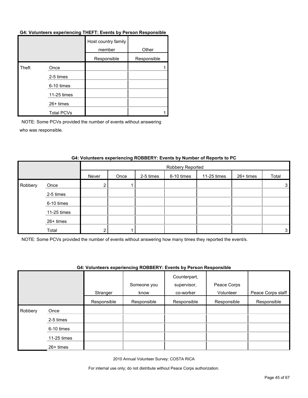#### **G4: Volunteers experiencing THEFT: Events by Person Responsible**

|       |                   | Host country family<br>member | Other       |
|-------|-------------------|-------------------------------|-------------|
|       |                   | Responsible                   | Responsible |
| Theft | Once              |                               |             |
|       | 2-5 times         |                               |             |
|       | 6-10 times        |                               |             |
|       | 11-25 times       |                               |             |
|       | 26+ times         |                               |             |
|       | <b>Total PCVs</b> |                               |             |

NOTE: Some PCVs provided the number of events without answering who was responsible.

|         |             |       | Robbery Reported |           |            |             |           |       |  |  |
|---------|-------------|-------|------------------|-----------|------------|-------------|-----------|-------|--|--|
|         |             | Never | Once             | 2-5 times | 6-10 times | 11-25 times | 26+ times | Total |  |  |
| Robbery | Once        | ◠     |                  |           |            |             |           | 3     |  |  |
|         | 2-5 times   |       |                  |           |            |             |           |       |  |  |
|         | 6-10 times  |       |                  |           |            |             |           |       |  |  |
|         | 11-25 times |       |                  |           |            |             |           |       |  |  |
|         | 26+ times   |       |                  |           |            |             |           |       |  |  |
|         | Total       | ◠     |                  |           |            |             |           | 3     |  |  |

#### **G4: Volunteers experiencing ROBBERY: Events by Number of Reports to PC**

NOTE: Some PCVs provided the number of events without answering how many times they reported the event/s.

#### **G4: Volunteers experiencing ROBBERY: Events by Person Responsible**

|         |             | Stranger    | Someone you<br>know | Counterpart,<br>supervisor,<br>co-worker | Peace Corps<br>Volunteer | Peace Corps staff |
|---------|-------------|-------------|---------------------|------------------------------------------|--------------------------|-------------------|
|         |             | Responsible | Responsible         | Responsible                              | Responsible              | Responsible       |
| Robbery | Once        |             |                     |                                          |                          |                   |
|         | 2-5 times   |             |                     |                                          |                          |                   |
|         | 6-10 times  |             |                     |                                          |                          |                   |
|         | 11-25 times |             |                     |                                          |                          |                   |
|         | 26+ times   |             |                     |                                          |                          |                   |

2010 Annual Volunteer Survey: COSTA RICA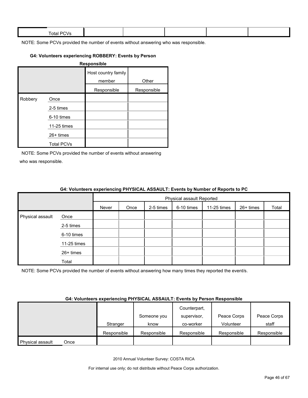| $ -$<br><b>Total PL</b><br>$\mathbf{v}$ |  |  |  |
|-----------------------------------------|--|--|--|
|                                         |  |  |  |

### **G4: Volunteers experiencing ROBBERY: Events by Person**

|         |                   | <b>Responsible</b>            |             |
|---------|-------------------|-------------------------------|-------------|
|         |                   | Host country family<br>member | Other       |
|         |                   | Responsible                   | Responsible |
| Robbery | Once              |                               |             |
|         | 2-5 times         |                               |             |
|         | 6-10 times        |                               |             |
|         | 11-25 times       |                               |             |
|         | 26+ times         |                               |             |
|         | <b>Total PCVs</b> |                               |             |

NOTE: Some PCVs provided the number of events without answering who was responsible.

|                  |             | <u>on relatively experiencing</u> in related to the relative symmetry in the period of the |                           |           |            |             |           |       |  |  |
|------------------|-------------|--------------------------------------------------------------------------------------------|---------------------------|-----------|------------|-------------|-----------|-------|--|--|
|                  |             |                                                                                            | Physical assault Reported |           |            |             |           |       |  |  |
|                  |             | Never                                                                                      | Once                      | 2-5 times | 6-10 times | 11-25 times | 26+ times | Total |  |  |
| Physical assault | Once        |                                                                                            |                           |           |            |             |           |       |  |  |
|                  | 2-5 times   |                                                                                            |                           |           |            |             |           |       |  |  |
|                  | 6-10 times  |                                                                                            |                           |           |            |             |           |       |  |  |
|                  | 11-25 times |                                                                                            |                           |           |            |             |           |       |  |  |
|                  | 26+ times   |                                                                                            |                           |           |            |             |           |       |  |  |
|                  | Total       |                                                                                            |                           |           |            |             |           |       |  |  |

#### **G4: Volunteers experiencing PHYSICAL ASSAULT: Events by Number of Reports to PC**

NOTE: Some PCVs provided the number of events without answering how many times they reported the event/s.

#### **G4: Volunteers experiencing PHYSICAL ASSAULT: Events by Person Responsible**

|                  |      |             |             | Counterpart, |             |             |
|------------------|------|-------------|-------------|--------------|-------------|-------------|
|                  |      |             | Someone you | supervisor,  | Peace Corps | Peace Corps |
|                  |      | Stranger    | know        | co-worker    | Volunteer   | staff       |
|                  |      | Responsible | Responsible | Responsible  | Responsible | Responsible |
| Physical assault | Once |             |             |              |             |             |

2010 Annual Volunteer Survey: COSTA RICA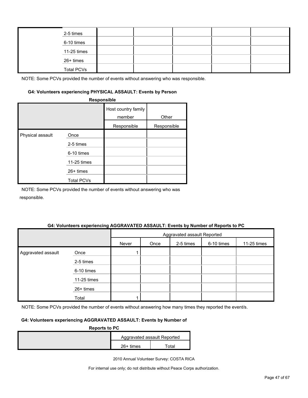| 2-5 times         |  |  |  |
|-------------------|--|--|--|
| 6-10 times        |  |  |  |
| 11-25 times       |  |  |  |
| 26+ times         |  |  |  |
| <b>Total PCVs</b> |  |  |  |

#### **G4: Volunteers experiencing PHYSICAL ASSAULT: Events by Person**

|                  | Responsible                                                                        |                                              |                      |
|------------------|------------------------------------------------------------------------------------|----------------------------------------------|----------------------|
|                  |                                                                                    | Host country family<br>member<br>Responsible | Other<br>Responsible |
| Physical assault | Once<br>2-5 times<br>6-10 times<br>11-25 times<br>$26+$ times<br><b>Total PCVs</b> |                                              |                      |

NOTE: Some PCVs provided the number of events without answering who was responsible.

#### **G4: Volunteers experiencing AGGRAVATED ASSAULT: Events by Number of Reports to PC**

|                    |             |       | Aggravated assault Reported |           |            |             |  |  |  |
|--------------------|-------------|-------|-----------------------------|-----------|------------|-------------|--|--|--|
|                    |             | Never | Once                        | 2-5 times | 6-10 times | 11-25 times |  |  |  |
| Aggravated assault | Once        |       |                             |           |            |             |  |  |  |
|                    | 2-5 times   |       |                             |           |            |             |  |  |  |
|                    | 6-10 times  |       |                             |           |            |             |  |  |  |
|                    | 11-25 times |       |                             |           |            |             |  |  |  |
|                    | 26+ times   |       |                             |           |            |             |  |  |  |
|                    | Total       |       |                             |           |            |             |  |  |  |

NOTE: Some PCVs provided the number of events without answering how many times they reported the event/s.

### **G4: Volunteers experiencing AGGRAVATED ASSAULT: Events by Number of**

| <b>Reports to PC</b> |             |                             |
|----------------------|-------------|-----------------------------|
|                      |             | Aggravated assault Reported |
|                      | $26+$ times | otal                        |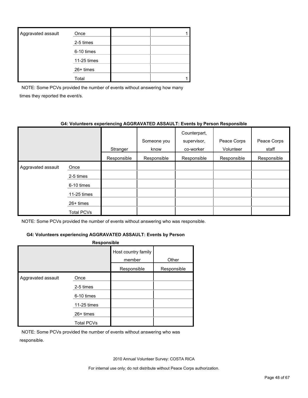| Aggravated assault | Once        |  |
|--------------------|-------------|--|
|                    | 2-5 times   |  |
|                    | 6-10 times  |  |
|                    | 11-25 times |  |
|                    | $26+$ times |  |
|                    | Total       |  |

NOTE: Some PCVs provided the number of events without answering how many times they reported the event/s.

#### **G4: Volunteers experiencing AGGRAVATED ASSAULT: Events by Person Responsible**

|                    |             | Stranger    | Someone you<br>know | Counterpart,<br>supervisor,<br>co-worker | Peace Corps<br>Volunteer | Peace Corps<br>staff |
|--------------------|-------------|-------------|---------------------|------------------------------------------|--------------------------|----------------------|
|                    |             | Responsible | Responsible         | Responsible                              | Responsible              | Responsible          |
| Aggravated assault | Once        |             |                     |                                          |                          |                      |
|                    | 2-5 times   |             |                     |                                          |                          |                      |
|                    | 6-10 times  |             |                     |                                          |                          |                      |
|                    | 11-25 times |             |                     |                                          |                          |                      |
|                    | $26+$ times |             |                     |                                          |                          |                      |
|                    | Total PCVs  |             |                     |                                          |                          |                      |

NOTE: Some PCVs provided the number of events without answering who was responsible.

#### **G4: Volunteers experiencing AGGRAVATED ASSAULT: Events by Person**

| Responsible        |                   |                               |             |  |  |  |  |  |
|--------------------|-------------------|-------------------------------|-------------|--|--|--|--|--|
|                    |                   | Host country family<br>member | Other       |  |  |  |  |  |
|                    |                   | Responsible                   | Responsible |  |  |  |  |  |
| Aggravated assault | Once<br>2-5 times |                               |             |  |  |  |  |  |
|                    | 6-10 times        |                               |             |  |  |  |  |  |
|                    | 11-25 times       |                               |             |  |  |  |  |  |
|                    | $26+$ times       |                               |             |  |  |  |  |  |
|                    | <b>Total PCVs</b> |                               |             |  |  |  |  |  |

NOTE: Some PCVs provided the number of events without answering who was responsible.

2010 Annual Volunteer Survey: COSTA RICA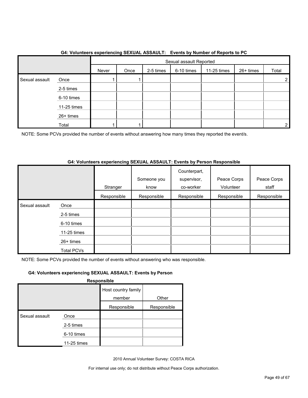|                |             |       | Sexual assault Reported |           |            |             |           |       |
|----------------|-------------|-------|-------------------------|-----------|------------|-------------|-----------|-------|
|                |             | Never | Once                    | 2-5 times | 6-10 times | 11-25 times | 26+ times | Total |
| Sexual assault | Once        |       |                         |           |            |             |           | 2     |
|                | 2-5 times   |       |                         |           |            |             |           |       |
|                | 6-10 times  |       |                         |           |            |             |           |       |
|                | 11-25 times |       |                         |           |            |             |           |       |
|                | 26+ times   |       |                         |           |            |             |           |       |
|                | Total       |       |                         |           |            |             |           | 2     |

#### **G4: Volunteers experiencing SEXUAL ASSAULT: Events by Number of Reports to PC**

NOTE: Some PCVs provided the number of events without answering how many times they reported the event/s.

#### **G4: Volunteers experiencing SEXUAL ASSAULT: Events by Person Responsible**

|                |                   | Stranger    | Someone you<br>know | Counterpart,<br>supervisor,<br>co-worker | Peace Corps<br>Volunteer | Peace Corps<br>staff |
|----------------|-------------------|-------------|---------------------|------------------------------------------|--------------------------|----------------------|
|                |                   | Responsible | Responsible         | Responsible                              | Responsible              | Responsible          |
| Sexual assault | Once              |             |                     |                                          |                          |                      |
|                | 2-5 times         |             |                     |                                          |                          |                      |
|                | 6-10 times        |             |                     |                                          |                          |                      |
|                | 11-25 times       |             |                     |                                          |                          |                      |
|                | $26+$ times       |             |                     |                                          |                          |                      |
|                | <b>Total PCVs</b> |             |                     |                                          |                          |                      |

NOTE: Some PCVs provided the number of events without answering who was responsible.

### **G4: Volunteers experiencing SEXUAL ASSAULT: Events by Person**

**Responsible**

|                |             | Host country family |             |
|----------------|-------------|---------------------|-------------|
|                |             | member              | Other       |
|                |             | Responsible         | Responsible |
| Sexual assault | Once        |                     |             |
|                | 2-5 times   |                     |             |
|                | 6-10 times  |                     |             |
|                | 11-25 times |                     |             |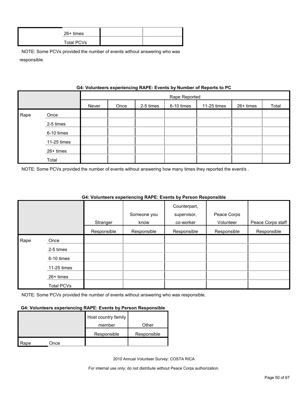| 26+ times  |  |
|------------|--|
| Total PCVs |  |

|      |             | G4: VOIUNTERS EXPERIENCING RAPE: EVENTS by NUMBER OF REPORTS TO PU |               |           |            |             |           |       |
|------|-------------|--------------------------------------------------------------------|---------------|-----------|------------|-------------|-----------|-------|
|      |             |                                                                    | Rape Reported |           |            |             |           |       |
|      |             | Never                                                              | Once          | 2-5 times | 6-10 times | 11-25 times | 26+ times | Total |
| Rape | Once        |                                                                    |               |           |            |             |           |       |
|      | 2-5 times   |                                                                    |               |           |            |             |           |       |
|      | 6-10 times  |                                                                    |               |           |            |             |           |       |
|      | 11-25 times |                                                                    |               |           |            |             |           |       |
|      | 26+ times   |                                                                    |               |           |            |             |           |       |
|      | Total       |                                                                    |               |           |            |             |           |       |

## **Gynorionoing BABE: Events by Number of Benerts to**

NOTE: Some PCVs provided the number of events without answering how many times they reported the event/s .

|      |             |             |             | Counterpart, |             |                   |
|------|-------------|-------------|-------------|--------------|-------------|-------------------|
|      |             |             | Someone you | supervisor,  | Peace Corps |                   |
|      |             | Stranger    | know        | co-worker    | Volunteer   | Peace Corps staff |
|      |             | Responsible | Responsible | Responsible  | Responsible | Responsible       |
| Rape | Once        |             |             |              |             |                   |
|      | 2-5 times   |             |             |              |             |                   |
|      | 6-10 times  |             |             |              |             |                   |
|      | 11-25 times |             |             |              |             |                   |
|      | $26+$ times |             |             |              |             |                   |
|      | Total PCVs  |             |             |              |             |                   |

#### **G4: Volunteers experiencing RAPE: Events by Person Responsible**

NOTE: Some PCVs provided the number of events without answering who was responsible.

#### **G4: Volunteers experiencing RAPE: Events by Person Responsible**

|      |      | Host country family |             |
|------|------|---------------------|-------------|
|      |      | member              | Other       |
|      |      | Responsible         | Responsible |
| Rape | Once |                     |             |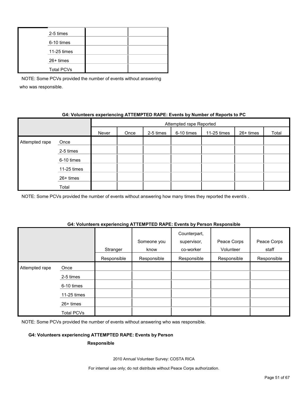| 2-5 times         |  |
|-------------------|--|
| 6-10 times        |  |
| 11-25 times       |  |
| 26+ times         |  |
| <b>Total PCVs</b> |  |

### **G4: Volunteers experiencing ATTEMPTED RAPE: Events by Number of Reports to PC**

|                | Attempted rape Reported |       |      |           |            |             |           |       |
|----------------|-------------------------|-------|------|-----------|------------|-------------|-----------|-------|
|                |                         | Never | Once | 2-5 times | 6-10 times | 11-25 times | 26+ times | Total |
| Attempted rape | Once                    |       |      |           |            |             |           |       |
|                | 2-5 times               |       |      |           |            |             |           |       |
|                | 6-10 times              |       |      |           |            |             |           |       |
|                | 11-25 times             |       |      |           |            |             |           |       |
|                | 26+ times               |       |      |           |            |             |           |       |
|                | Total                   |       |      |           |            |             |           |       |

NOTE: Some PCVs provided the number of events without answering how many times they reported the event/s.

#### **G4: Volunteers experiencing ATTEMPTED RAPE: Events by Person Responsible**

|                |             | Stranger    | Someone you<br>know | Counterpart,<br>supervisor,<br>co-worker | Peace Corps<br>Volunteer | Peace Corps<br>staff |
|----------------|-------------|-------------|---------------------|------------------------------------------|--------------------------|----------------------|
|                |             | Responsible | Responsible         | Responsible                              | Responsible              | Responsible          |
| Attempted rape | Once        |             |                     |                                          |                          |                      |
|                | 2-5 times   |             |                     |                                          |                          |                      |
|                | 6-10 times  |             |                     |                                          |                          |                      |
|                | 11-25 times |             |                     |                                          |                          |                      |
|                | 26+ times   |             |                     |                                          |                          |                      |
|                | Total PCVs  |             |                     |                                          |                          |                      |

NOTE: Some PCVs provided the number of events without answering who was responsible.

#### **G4: Volunteers experiencing ATTEMPTED RAPE: Events by Person**

#### **Responsible**

2010 Annual Volunteer Survey: COSTA RICA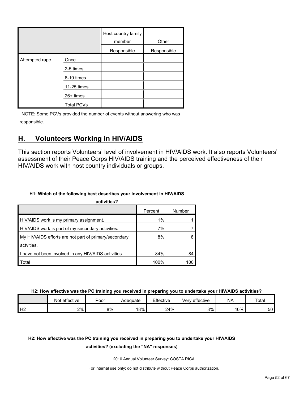|                |                   | Host country family<br>member | Other       |
|----------------|-------------------|-------------------------------|-------------|
|                |                   | Responsible                   | Responsible |
| Attempted rape | Once              |                               |             |
|                | 2-5 times         |                               |             |
|                | 6-10 times        |                               |             |
|                | 11-25 times       |                               |             |
|                | 26+ times         |                               |             |
|                | <b>Total PCVs</b> |                               |             |

## <span id="page-51-0"></span>**H. Volunteers Working in HIV/AIDS**

This section reports Volunteers' level of involvement in HIV/AIDS work. It also reports Volunteers' assessment of their Peace Corps HIV/AIDS training and the perceived effectiveness of their HIV/AIDS work with host country individuals or groups.

### **H1: Which of the following best describes your involvement in HIV/AIDS**

| activities?                                           |         |        |
|-------------------------------------------------------|---------|--------|
|                                                       | Percent | Number |
| HIV/AIDS work is my primary assignment.               | 1%      |        |
| HIV/AIDS work is part of my secondary activities.     | 7%      |        |
| My HIV/AIDS efforts are not part of primary/secondary | 8%      |        |
| actvities.                                            |         |        |
| I have not been involved in any HIV/AIDS activities.  | 84%     | 84     |
| Total                                                 | 100%    | 100    |

**H2: How effective was the PC training you received in preparing you to undertake your HIV/AIDS activities?**

|    | Not effective | Poor | Adequate | Effective | Very effective | <b>NA</b> | Total |
|----|---------------|------|----------|-----------|----------------|-----------|-------|
| Н2 | $2\%$         | 8%   | 18%      | 24%       | 8%             | 40%       | 50    |

## **H2: How effective was the PC training you received in preparing you to undertake your HIV/AIDS**

#### **activities? (excluding the "NA" responses)**

2010 Annual Volunteer Survey: COSTA RICA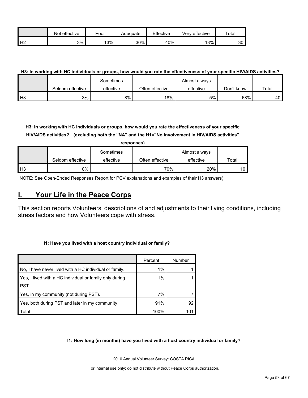|                | effective<br>Not | Poor | Adequate | Effective | Very effective | $\tau$ otar |
|----------------|------------------|------|----------|-----------|----------------|-------------|
| H <sub>2</sub> | 3%               | 13%  | 30%      | 40%       | 13%            | 30          |

#### **H3: In working with HC individuals or groups, how would you rate the effectiveness of your specific HIV/AIDS activities?**

|               |                  | Sometimes |                 | Almost always |            |       |
|---------------|------------------|-----------|-----------------|---------------|------------|-------|
|               | Seldom effective | effective | Often effective | effective     | Don't know | Total |
| $\mathsf{H}3$ | 3%               | 8%        | 18%             | 5%            | 68%        | 40 I  |

**H3: In working with HC individuals or groups, how would you rate the effectiveness of your specific HIV/AIDS activities? (excluding both the "NA" and the H1="No involvement in HIV/AIDS activities"** 

|                |                  | responses) |                 |               |                 |
|----------------|------------------|------------|-----------------|---------------|-----------------|
|                |                  | Sometimes  |                 | Almost always |                 |
|                | Seldom effective | effective  | Often effective | effective     | Total           |
| H <sub>3</sub> | 10%              |            | 70%             | 20%           | 10 <sub>1</sub> |

NOTE: See Open-Ended Responses Report for PCV explanations and examples of their H3 answers)

## <span id="page-52-0"></span>**I. Your Life in the Peace Corps**

This section reports Volunteers' descriptions of and adjustments to their living conditions, including stress factors and how Volunteers cope with stress.

#### **I1: Have you lived with a host country individual or family?**

|                                                         | Percent | Number |
|---------------------------------------------------------|---------|--------|
| No, I have never lived with a HC individual or family.  | 1%      |        |
| Yes, I lived with a HC individual or family only during | 1%      |        |
| PST.                                                    |         |        |
| Yes, in my community (not during PST).                  | 7%      |        |
| Yes, both during PST and later in my community.         | 91%     | 92     |
| Total                                                   | 100%    | 101    |

**I1: How long (in months) have you lived with a host country individual or family?**

2010 Annual Volunteer Survey: COSTA RICA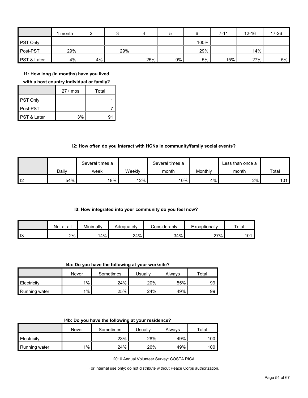|                        | month |    |     | 4   | b  |      | $7 - 11$ | $12 - 16$ | 17-26 |
|------------------------|-------|----|-----|-----|----|------|----------|-----------|-------|
| <b>PST Only</b>        |       |    |     |     |    | 100% |          |           |       |
| Post-PST               | 29%   |    | 29% |     |    | 29%  |          | 14%       |       |
| <b>PST &amp; Later</b> | 4%    | 4% |     | 25% | 9% | 5%   | 15%      | 27%       | 5%    |

**I1: How long (in months) have you lived** 

**with a host country individual or family?**

|                        | $27+$ mos | Total |
|------------------------|-----------|-------|
| PST Only               |           |       |
| Post-PST               |           |       |
| <b>PST &amp; Later</b> | 3%        | q     |

#### **I2: How often do you interact with HCNs in community/family social events?**

|                   |       | Several times a |        | Several times a |         | ∟ess than once a |       |
|-------------------|-------|-----------------|--------|-----------------|---------|------------------|-------|
|                   | Dailv | week            | Weekly | month           | Monthly | month            | Total |
| $\overline{1}$ 12 | 54%   | 18%             | 12%    | 10%             | 4%      | 2%               | 101   |

#### **I3: How integrated into your community do you feel now?**

|    | Not at all | Minimally | Adeauatelv | Considerabl∨ | Exceptionally | Total |
|----|------------|-----------|------------|--------------|---------------|-------|
| 13 | 2%         | 14%       | 24%        | 34%          | 27%           | 101   |

**I4a: Do you have the following at your worksite?**

|               | Never | Sometimes | Usuallv | Always | $\tau$ otal |
|---------------|-------|-----------|---------|--------|-------------|
| Electricity   | $1\%$ | 24%       | 20%     | 55%    | 99          |
| Running water | $1\%$ | 25%       | 24%     | 49%    | 99          |

|  |  | 14b: Do you have the following at your residence? |
|--|--|---------------------------------------------------|
|--|--|---------------------------------------------------|

|               | Never | Sometimes | Usuallv | Always | ⊤otal |
|---------------|-------|-----------|---------|--------|-------|
| Electricity   |       | 23%       | 28%     | 49%    | 100   |
| Running water | $1\%$ | 24%       | 26%     | 49%    | 100   |

2010 Annual Volunteer Survey: COSTA RICA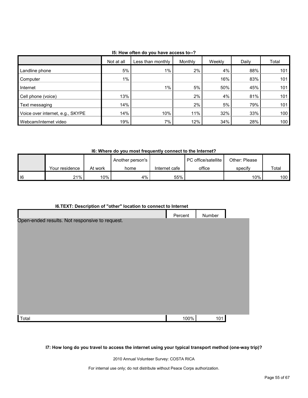|                                  | Not at all | Less than monthly | Monthly | Weekly | Daily | Total            |
|----------------------------------|------------|-------------------|---------|--------|-------|------------------|
| Landline phone                   | 5%         | $1\%$             | 2%      | 4%     | 88%   | 101 <sub>1</sub> |
| Computer                         | $1\%$      |                   |         | 16%    | 83%   | 101              |
| Internet                         |            | $1\%$             | 5%      | 50%    | 45%   | 101              |
| Cell phone (voice)               | 13%        |                   | 2%      | 4%     | 81%   | 101              |
| Text messaging                   | 14%        |                   | 2%      | 5%     | 79%   | 101              |
| Voice over internet, e.g., SKYPE | 14%        | 10%               | 11%     | 32%    | 33%   | 100              |
| Webcam/internet video            | 19%        | 7%                | 12%     | 34%    | 28%   | 100 <sub>1</sub> |

**I5: How often do you have access to--?**

**I6: Where do you most frequently connect to the Internet?**

|        |                |          | Another person's |               | I PC office/satellite | Other: Please |       |
|--------|----------------|----------|------------------|---------------|-----------------------|---------------|-------|
|        | Your residence | At work  | home             | Internet cafe | office                | specify       | Total |
| $ $ 16 | 21%            | $10\%$ . | 4%               | 55%           |                       | $10\%$        | 100 l |

| <b>I6.TEXT: Description of "other" location to connect to Internet</b> |
|------------------------------------------------------------------------|
|------------------------------------------------------------------------|

|                                                | Percent | Number |  |
|------------------------------------------------|---------|--------|--|
| Open-ended results. Not responsive to request. |         |        |  |
|                                                |         |        |  |
|                                                |         |        |  |
|                                                |         |        |  |
|                                                |         |        |  |
|                                                |         |        |  |
|                                                |         |        |  |
|                                                |         |        |  |
|                                                |         |        |  |
|                                                |         |        |  |
|                                                |         |        |  |
| Total                                          | 100%    | 101    |  |

**I7: How long do you travel to access the internet using your typical transport method (one-way trip)?**

2010 Annual Volunteer Survey: COSTA RICA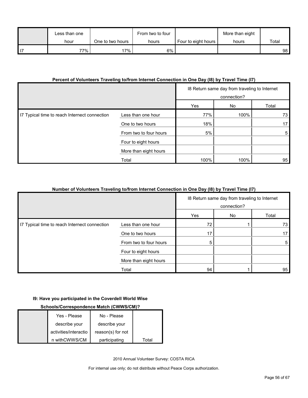|      | Less than one |                  | From two to four |                     | More than eight |                 |
|------|---------------|------------------|------------------|---------------------|-----------------|-----------------|
|      | hour          | One to two hours | hours            | Four to eight hours | hours           | Total           |
| l 17 | 77% 1         | $17\%$           | 6%               |                     |                 | 98 <sub>1</sub> |

## **Percent of Volunteers Traveling to/from Internet Connection in One Day (I8) by Travel Time (I7)**

|                                               |                        |      | 18 Return same day from traveling to Internet<br>connection? |       |
|-----------------------------------------------|------------------------|------|--------------------------------------------------------------|-------|
|                                               |                        | Yes  | No                                                           | Total |
| I7 Typical time to reach Internect connection | Less than one hour     | 77%  | 100%                                                         | 73    |
|                                               | One to two hours       | 18%  |                                                              | 17    |
|                                               | From two to four hours | 5%   |                                                              | 5     |
|                                               | Four to eight hours    |      |                                                              |       |
|                                               | More than eight hours  |      |                                                              |       |
|                                               | Total                  | 100% | 100%                                                         | 95    |

#### **Number of Volunteers Traveling to/from Internet Connection in One Day (I8) by Travel Time (I7)**

|                                               |                        |     | 18 Return same day from traveling to Internet<br>connection? |       |
|-----------------------------------------------|------------------------|-----|--------------------------------------------------------------|-------|
|                                               |                        | Yes | No                                                           | Total |
| I7 Typical time to reach Internect connection | Less than one hour     | 72  |                                                              | 73    |
|                                               | One to two hours       | 17  |                                                              | 17    |
|                                               | From two to four hours | 5   |                                                              | 5     |
|                                               | Four to eight hours    |     |                                                              |       |
|                                               | More than eight hours  |     |                                                              |       |
|                                               | Total                  | 94  |                                                              | 95    |

### **I9: Have you participated in the Coverdell World Wise**

## **Schools/Correspondence Match (CWWS/CM)?**

| Yes - Please          | No - Please       |       |
|-----------------------|-------------------|-------|
| describe your         | describe your     |       |
| activities/interactio | reason(s) for not |       |
| n withCWWS/CM         | participating     | Total |

2010 Annual Volunteer Survey: COSTA RICA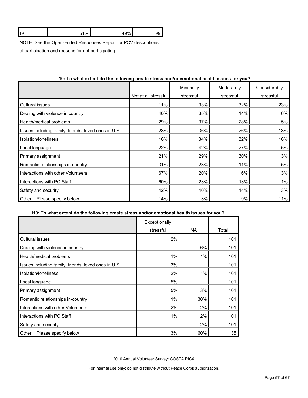| າສ | $-4.0/$ | 10% | 73 |
|----|---------|-----|----|
|    |         |     |    |

NOTE: See the Open-Ended Responses Report for PCV descriptions

of participation and reasons for not participating.

|                                                      | Not at all stressful | Minimally<br>stressful | Moderately<br>stressful | Considerably<br>stressful |
|------------------------------------------------------|----------------------|------------------------|-------------------------|---------------------------|
|                                                      |                      |                        |                         |                           |
| <b>Cultural issues</b>                               | 11%                  | 33%                    | 32%                     | 23%                       |
| Dealing with violence in country                     | 40%                  | 35%                    | 14%                     | 6%                        |
| Health/medical problems                              | 29%                  | 37%                    | 28%                     | 5%                        |
| Issues including family, friends, loved ones in U.S. | 23%                  | 36%                    | 26%                     | 13%                       |
| Isolation/loneliness                                 | 16%                  | 34%                    | 32%                     | 16%                       |
| Local language                                       | 22%                  | 42%                    | 27%                     | 5%                        |
| Primary assignment                                   | 21%                  | 29%                    | 30%                     | 13%                       |
| Romantic relationships in-country                    | 31%                  | 23%                    | 11%                     | 5%                        |
| Interactions with other Volunteers                   | 67%                  | 20%                    | 6%                      | 3%                        |
| Interactions with PC Staff                           | 60%                  | 23%                    | 13%                     | $1\%$                     |
| Safety and security                                  | 42%                  | 40%                    | 14%                     | 3%                        |
| Please specify below<br>Other:                       | 14%                  | 3%                     | 9%                      | 11%                       |

### **I10: To what extent do the following create stress and/or emotional health issues for you?**

#### **I10: To what extent do the following create stress and/or emotional health issues for you?**

|                                                      | Exceptionally |           |       |
|------------------------------------------------------|---------------|-----------|-------|
|                                                      | stressful     | <b>NA</b> | Total |
| <b>Cultural issues</b>                               | 2%            |           | 101   |
| Dealing with violence in country                     |               | 6%        | 101   |
| Health/medical problems                              | 1%            | $1\%$     | 101   |
| Issues including family, friends, loved ones in U.S. | 3%            |           | 101   |
| Isolation/loneliness                                 | 2%            | 1%        | 101   |
| Local language                                       | 5%            |           | 101   |
| Primary assignment                                   | 5%            | 3%        | 101   |
| Romantic relationships in-country                    | 1%            | 30%       | 101   |
| Interactions with other Volunteers                   | 2%            | 2%        | 101   |
| Interactions with PC Staff                           | 1%            | 2%        | 101   |
| Safety and security                                  |               | 2%        | 101   |
| Please specify below<br>Other:                       | 3%            | 60%       | 35    |

2010 Annual Volunteer Survey: COSTA RICA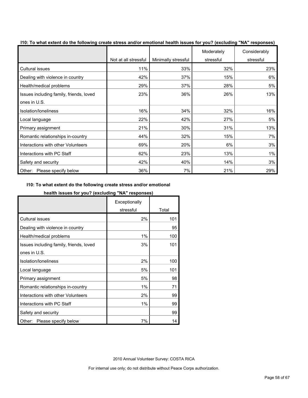| of the milat extent as the fellowing ereals called allargr emotional health locales for your (exclusion) functionally | Not at all stressful | Minimally stressful | Moderately<br>stressful | Considerably<br>stressful |
|-----------------------------------------------------------------------------------------------------------------------|----------------------|---------------------|-------------------------|---------------------------|
| <b>Cultural issues</b>                                                                                                | 11%                  | 33%                 | 32%                     | 23%                       |
| Dealing with violence in country                                                                                      | 42%                  | 37%                 | 15%                     | 6%                        |
| Health/medical problems                                                                                               | 29%                  | 37%                 | 28%                     | 5%                        |
| Issues including family, friends, loved                                                                               | 23%                  | 36%                 | 26%                     | 13%                       |
| ones in U.S.                                                                                                          |                      |                     |                         |                           |
| Isolation/loneliness                                                                                                  | 16%                  | 34%                 | 32%                     | 16%                       |
| Local language                                                                                                        | 22%                  | 42%                 | 27%                     | 5%                        |
| Primary assignment                                                                                                    | 21%                  | 30%                 | 31%                     | 13%                       |
| Romantic relationships in-country                                                                                     | 44%                  | 32%                 | 15%                     | 7%                        |
| Interactions with other Volunteers                                                                                    | 69%                  | 20%                 | 6%                      | 3%                        |
| Interactions with PC Staff                                                                                            | 62%                  | 23%                 | 13%                     | 1%                        |
| Safety and security                                                                                                   | 42%                  | 40%                 | 14%                     | 3%                        |
| Other: Please specify below                                                                                           | 36%                  | 7%                  | 21%                     | 29%                       |

**I10: To what extent do the following create stress and/or emotional health issues for you? (excluding "NA" responses)**

### **I10: To what extent do the following create stress and/or emotional**

#### **health issues for you? (excluding "NA" responses)**

|                                         | Exceptionally |       |
|-----------------------------------------|---------------|-------|
|                                         | stressful     | Total |
| <b>Cultural issues</b>                  | 2%            | 101   |
| Dealing with violence in country        |               | 95    |
| Health/medical problems                 | 1%            | 100   |
| Issues including family, friends, loved | 3%            | 101   |
| ones in U.S.                            |               |       |
| Isolation/loneliness                    | 2%            | 100   |
| Local language                          | 5%            | 101   |
| Primary assignment                      | 5%            | 98    |
| Romantic relationships in-country       | 1%            | 71    |
| Interactions with other Volunteers      | 2%            | 99    |
| Interactions with PC Staff              | 1%            | 99    |
| Safety and security                     |               | 99    |
| Please specify below<br>Other:          | 7%            | 14    |

2010 Annual Volunteer Survey: COSTA RICA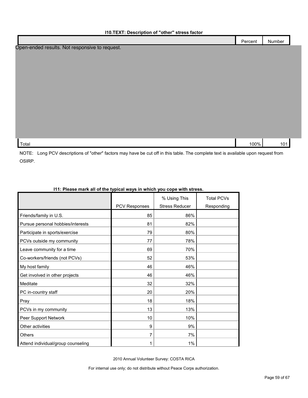|                                                | Percent | Number |
|------------------------------------------------|---------|--------|
| Open-ended results. Not responsive to request. |         |        |
|                                                |         |        |
|                                                |         |        |
|                                                |         |        |
|                                                |         |        |
|                                                |         |        |
|                                                |         |        |
|                                                |         |        |
|                                                |         |        |
|                                                |         |        |
|                                                |         |        |
|                                                |         |        |
| Total                                          | 100%    | 101    |

NOTE: Long PCV descriptions of "other" factors may have be cut off in this table. The complete text is available upon request from OSIRP.

|                                    |                      | % Using This          | <b>Total PCVs</b> |
|------------------------------------|----------------------|-----------------------|-------------------|
|                                    | <b>PCV Responses</b> | <b>Stress Reducer</b> | Responding        |
| Friends/family in U.S.             | 85                   | 86%                   |                   |
| Pursue personal hobbies/interests  | 81                   | 82%                   |                   |
| Participate in sports/exercise     | 79                   | 80%                   |                   |
| PCVs outside my community          | 77                   | 78%                   |                   |
| Leave community for a time         | 69                   | 70%                   |                   |
| Co-workers/friends (not PCVs)      | 52                   | 53%                   |                   |
| My host family                     | 46                   | 46%                   |                   |
| Get involved in other projects     | 46                   | 46%                   |                   |
| Meditate                           | 32                   | 32%                   |                   |
| PC in-country staff                | 20                   | 20%                   |                   |
| Pray                               | 18                   | 18%                   |                   |
| PCVs in my community               | 13                   | 13%                   |                   |
| Peer Support Network               | 10                   | 10%                   |                   |
| Other activities                   | 9                    | 9%                    |                   |
| <b>Others</b>                      |                      | 7%                    |                   |
| Attend individual/group counseling |                      | 1%                    |                   |

## **I11: Please mark all of the typical ways in which you cope with stress.**

2010 Annual Volunteer Survey: COSTA RICA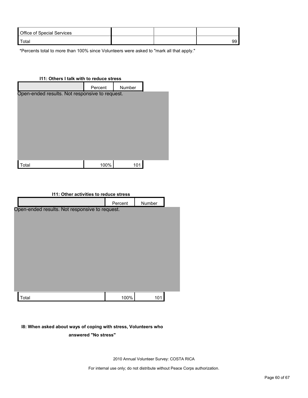| <b>Office of Special Services</b> |  |  |
|-----------------------------------|--|--|
| Total                             |  |  |

\*Percents total to more than 100% since Volunteers were asked to "mark all that apply."

| 111: Others I talk with to reduce stress       |         |        |  |
|------------------------------------------------|---------|--------|--|
|                                                | Percent | Number |  |
| Open-ended results. Not responsive to request. |         |        |  |
| ʻotal                                          | 100%    | 101    |  |

| <b>111: Other activities to reduce stress</b>  |         |        |  |  |
|------------------------------------------------|---------|--------|--|--|
|                                                | Percent | Number |  |  |
| Open-ended results. Not responsive to request. |         |        |  |  |
|                                                |         |        |  |  |
|                                                |         |        |  |  |
|                                                |         |        |  |  |
|                                                |         |        |  |  |
|                                                |         |        |  |  |
|                                                |         |        |  |  |
|                                                |         |        |  |  |
|                                                |         |        |  |  |
|                                                |         |        |  |  |
| Total                                          | 100%    | 101    |  |  |

#### **I8: When asked about ways of coping with stress, Volunteers who**

**answered "No stress"** 

2010 Annual Volunteer Survey: COSTA RICA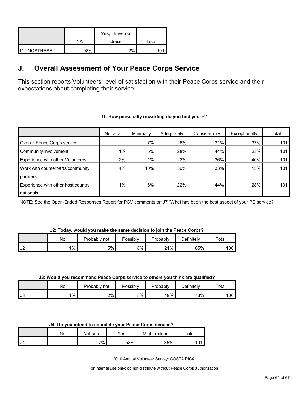|                     | NA  | Yes, I have no<br>stress | Total |
|---------------------|-----|--------------------------|-------|
| <b>I11.NOSTRESS</b> | 98% | 2%                       |       |

## <span id="page-60-0"></span>**J. Overall Assessment of Your Peace Corps Service**

This section reports Volunteers' level of satisfaction with their Peace Corps service and their expectations about completing their service.

|                                         | Not at all | Minimally | Adequately | Considerably | Exceptionally | Total |
|-----------------------------------------|------------|-----------|------------|--------------|---------------|-------|
| Overall Peace Corps service             |            | 7%        | 26%        | 31%          | 37%           | 101   |
| Community involvement                   | $1\%$      | 5%        | 28%        | 44%          | 23%           | 101   |
| <b>Experience with other Volunteers</b> | 2%         | $1\%$     | 22%        | 36%          | 40%           | 101   |
| Work with counterparts/community        | 4%         | 10%       | 39%        | 33%          | 15%           | 101   |
| partners                                |            |           |            |              |               |       |
| Experience with other host country      | 1%         | 6%        | 22%        | 44%          | 28%           | 101   |
| nationals                               |            |           |            |              |               |       |

#### **J1: How personally rewarding do you find your--?**

NOTE: See the Open-Ended Responses Report for PCV comments on J7 "What has been the best aspect of your PC service?"

#### **J2: Today, would you make the same decision to join the Peace Corps?**

|                        | N٥    | Probably not | Possibly | Probably | $\Delta$ efinitelv | Total |
|------------------------|-------|--------------|----------|----------|--------------------|-------|
| $\overline{10}$<br>∣J∠ | $1\%$ | 5%           | 8%       | 21%      | 65%                | 100   |

#### **J3: Would you recommend Peace Corps service to others you think are qualified?**

|      | No    | Probably<br>not | Possibly | Probably | <i>D</i> efinitely | Total |
|------|-------|-----------------|----------|----------|--------------------|-------|
| l J3 | $1\%$ | 2%              | 5%       | 19%      | 73%                | 100   |

| J4: Do you intend to complete your Peace Corps service? |  |
|---------------------------------------------------------|--|
|---------------------------------------------------------|--|

|      | No | Not sure | $\mathsf{v}_{\mathsf{es}}$ | Might extend | Total      |
|------|----|----------|----------------------------|--------------|------------|
| l J4 |    | 7%       | 58%                        | 35%          | 1 O 1<br>v |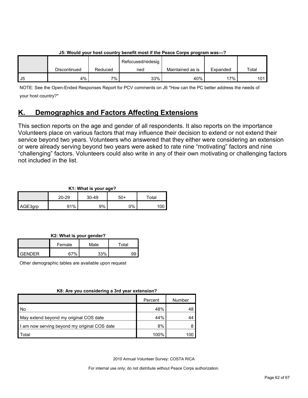|    | <u>JJ. WUUNU VUUTIIVSL CUUNILI V DENENL MIDSL II LIIE FEACE CUI DS DIUYI ANII WAS--- :</u> |         |                   |                  |          |       |  |
|----|--------------------------------------------------------------------------------------------|---------|-------------------|------------------|----------|-------|--|
|    |                                                                                            |         | Refocused/redesig |                  |          |       |  |
|    | Discontinued                                                                               | Reduced | ned               | Maintained as is | Expanded | Total |  |
| J5 | 4%                                                                                         | $7\%$   | 33%               | 40%              | 17% i    | 101   |  |

## **J5: Would your host country benefit most if the Peace Corps program was---?**

NOTE: See the Open-Ended Responses Report for PCV comments on J6 "How can the PC better address the needs of your host country?"

## <span id="page-61-0"></span>**K. Demographics and Factors Affecting Extensions**

This section reports on the age and gender of all respondents. It also reports on the importance Volunteers place on various factors that may influence their decision to extend or not extend their service beyond two years. Volunteers who answered that they either were considering an extension or were already serving beyond two years were asked to rate nine "motivating" factors and nine "challenging" factors. Volunteers could also write in any of their own motivating or challenging factors not included in the list.

## **K1: What is your age?**

|         | 20-29 | $30 - 49$ | 50+ | $\tau$ otal |
|---------|-------|-----------|-----|-------------|
| AGE3grp | 91%   | 9%        | 0%  |             |

**K2: What is your gender?**

|        | Female | Male | ™otal |
|--------|--------|------|-------|
| GENDER | 270/   | 220/ |       |

Other demographic tables are available upon request

### **K8: Are you considering a 3rd year extension?**

|                                              | Percent | Number |
|----------------------------------------------|---------|--------|
| l No                                         | 48%     | 48     |
| May extend beyond my original COS date       | 44%     |        |
| I am now serving beyond my original COS date | 8%      | 8      |
| Total                                        | 100%    | 100    |

2010 Annual Volunteer Survey: COSTA RICA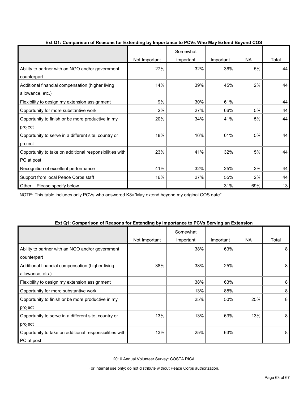|                                                         |               | Somewhat  |           |           |       |
|---------------------------------------------------------|---------------|-----------|-----------|-----------|-------|
|                                                         | Not Important | important | Important | <b>NA</b> | Total |
| Ability to partner with an NGO and/or government        | 27%           | 32%       | 36%       | 5%        | 44    |
| counterpart                                             |               |           |           |           |       |
| Additional financial compensation (higher living        | 14%           | 39%       | 45%       | 2%        | 44    |
| allowance, etc.)                                        |               |           |           |           |       |
| Flexibility to design my extension assignment           | 9%            | 30%       | 61%       |           | 44    |
| Opportunity for more substantive work                   | 2%            | 27%       | 66%       | 5%        | 44    |
| Opportunity to finish or be more productive in my       | 20%           | 34%       | 41%       | 5%        | 44    |
| project                                                 |               |           |           |           |       |
| Opportunity to serve in a different site, country or    | 18%           | 16%       | 61%       | 5%        | 44    |
| project                                                 |               |           |           |           |       |
| Opportunity to take on additional responsibilities with | 23%           | 41%       | 32%       | 5%        | 44    |
| PC at post                                              |               |           |           |           |       |
| Recognition of excellent performance                    | 41%           | 32%       | 25%       | 2%        | 44    |
| Support from local Peace Corps staff                    | 16%           | 27%       | 55%       | 2%        | 44    |
| Please specify below<br>Other:                          |               |           | 31%       | 69%       | 13    |

## **Ext Q1: Comparison of Reasons for Extending by Importance to PCVs Who May Extend Beyond COS**

NOTE: This table includes only PCVs who answered K8="May extend beyond my original COS date"

| EXT QT. Comparison of Reasons for Extending by importance to FCVS Serving an Extension |               |                       |           |           |       |
|----------------------------------------------------------------------------------------|---------------|-----------------------|-----------|-----------|-------|
|                                                                                        | Not Important | Somewhat<br>important | Important | <b>NA</b> | Total |
| Ability to partner with an NGO and/or government<br>counterpart                        |               | 38%                   | 63%       |           | 8     |
| Additional financial compensation (higher living<br>allowance, etc.)                   | 38%           | 38%                   | 25%       |           | 8     |
| Flexibility to design my extension assignment                                          |               | 38%                   | 63%       |           | 8     |
| Opportunity for more substantive work                                                  |               | 13%                   | 88%       |           | 8     |
| Opportunity to finish or be more productive in my<br>project                           |               | 25%                   | 50%       | 25%       | 8     |
| Opportunity to serve in a different site, country or<br>project                        | 13%           | 13%                   | 63%       | 13%       | 8     |
| Opportunity to take on additional responsibilities with<br>PC at post                  | 13%           | 25%                   | 63%       |           | 8     |

## **Ext Q1: Comparison of Reasons for Extending by Importance to PCVs Serving an Extension**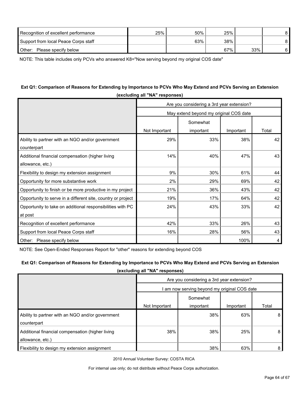| Recognition of excellent performance | 25% | 50% | 25% |     |  |
|--------------------------------------|-----|-----|-----|-----|--|
| Support from local Peace Corps staff |     | 63% | 38% |     |  |
| Other:<br>Please specify below       |     |     | 67% | 33% |  |

NOTE: This table includes only PCVs who answered K8="Now serving beyond my original COS date"

## **Ext Q1: Comparison of Reasons for Extending by Importance to PCVs Who May Extend and PCVs Serving an Extension (excluding all "NA" responses)**

|                                                              | Are you considering a 3rd year extension? |           |           |       |  |  |
|--------------------------------------------------------------|-------------------------------------------|-----------|-----------|-------|--|--|
|                                                              | May extend beyond my original COS date    |           |           |       |  |  |
|                                                              |                                           |           |           |       |  |  |
|                                                              | Not Important                             | important | Important | Total |  |  |
| Ability to partner with an NGO and/or government             | 29%                                       | 33%       | 38%       | 42    |  |  |
| counterpart                                                  |                                           |           |           |       |  |  |
| Additional financial compensation (higher living             | 14%                                       | 40%       | 47%       | 43    |  |  |
| allowance, etc.)                                             |                                           |           |           |       |  |  |
| Flexibility to design my extension assignment                | 9%                                        | 30%       | 61%       | 44    |  |  |
| Opportunity for more substantive work                        | 2%                                        | 29%       | 69%       | 42    |  |  |
| Opportunity to finish or be more productive in my project    | 21%                                       | 36%       | 43%       | 42    |  |  |
| Opportunity to serve in a different site, country or project | 19%                                       | 17%       | 64%       | 42    |  |  |
| Opportunity to take on additional responsibilities with PC   | 24%                                       | 43%       | 33%       | 42    |  |  |
| at post                                                      |                                           |           |           |       |  |  |
| Recognition of excellent performance                         | 42%                                       | 33%       | 26%       | 43    |  |  |
| Support from local Peace Corps staff                         | 16%                                       | 28%       | 56%       | 43    |  |  |
| Other: Please specify below                                  |                                           |           | 100%      | 4     |  |  |

NOTE: See Open-Ended Responses Report for "other" reasons for extending beyond COS

#### **Ext Q1: Comparison of Reasons for Extending by Importance to PCVs Who May Extend and PCVs Serving an Extension**

**(excluding all "NA" responses)**

|                                                                      | Are you considering a 3rd year extension?    |           |           |       |  |  |
|----------------------------------------------------------------------|----------------------------------------------|-----------|-----------|-------|--|--|
|                                                                      | I am now serving beyond my original COS date |           |           |       |  |  |
|                                                                      | Somewhat                                     |           |           |       |  |  |
|                                                                      | Not Important                                | important | Important | Total |  |  |
| Ability to partner with an NGO and/or government                     |                                              | 38%       | 63%       | 8     |  |  |
| counterpart                                                          |                                              |           |           |       |  |  |
| Additional financial compensation (higher living<br>allowance, etc.) | 38%                                          | 38%       | 25%       | 8     |  |  |
| Flexibility to design my extension assignment                        |                                              | 38%       | 63%       | 8     |  |  |

2010 Annual Volunteer Survey: COSTA RICA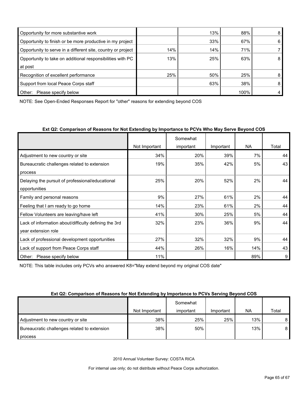| Opportunity for more substantive work                        |     | 13% | 88%  | 8 |
|--------------------------------------------------------------|-----|-----|------|---|
| Opportunity to finish or be more productive in my project    |     | 33% | 67%  | 6 |
| Opportunity to serve in a different site, country or project | 14% | 14% | 71%  |   |
| Opportunity to take on additional responsibilities with PC   | 13% | 25% | 63%  | 8 |
| at post                                                      |     |     |      |   |
| Recognition of excellent performance                         | 25% | 50% | 25%  | 8 |
| Support from local Peace Corps staff                         |     | 63% | 38%  | 8 |
| Other:<br>Please specify below                               |     |     | 100% | 4 |

NOTE: See Open-Ended Responses Report for "other" reasons for extending beyond COS

## **Ext Q2: Comparison of Reasons for Not Extending by Importance to PCVs Who May Serve Beyond COS**

|                                                       |               | Somewhat  |           |     |       |
|-------------------------------------------------------|---------------|-----------|-----------|-----|-------|
|                                                       | Not Important | important | Important | NA. | Total |
| Adjustment to new country or site                     | 34%           | 20%       | 39%       | 7%  | 44    |
| Bureaucratic challenges related to extension          | 19%           | 35%       | 42%       | 5%  | 43    |
| process                                               |               |           |           |     |       |
| Delaying the pursuit of professional/educational      | 25%           | 20%       | 52%       | 2%  | 44    |
| opportunities                                         |               |           |           |     |       |
| Family and personal reasons                           | 9%            | 27%       | 61%       | 2%  | 44    |
| Feeling that I am ready to go home                    | 14%           | 23%       | 61%       | 2%  | 44    |
| Fellow Volunteers are leaving/have left               | 41%           | 30%       | 25%       | 5%  | 44    |
| Lack of information about/difficulty defining the 3rd | 32%           | 23%       | 36%       | 9%  | 44    |
| year extension role                                   |               |           |           |     |       |
| Lack of professional development opportunities        | 27%           | 32%       | 32%       | 9%  | 44    |
| Lack of support from Peace Corps staff                | 44%           | 26%       | 16%       | 14% | 43    |
| Please specify below<br>Other:                        | 11%           |           |           | 89% | 9     |

NOTE: This table includes only PCVs who answered K8="May extend beyond my original COS date"

#### **Ext Q2: Comparison of Reasons for Not Extending by Importance to PCVs Serving Beyond COS**

|                                              | Not Important | Somewhat<br>important | Important | NA  | Total |
|----------------------------------------------|---------------|-----------------------|-----------|-----|-------|
| Adjustment to new country or site            | 38%           | 25%                   | 25%       | 13% | 8     |
| Bureaucratic challenges related to extension | 38%           | 50%                   |           | 13% | 8     |
| process                                      |               |                       |           |     |       |

2010 Annual Volunteer Survey: COSTA RICA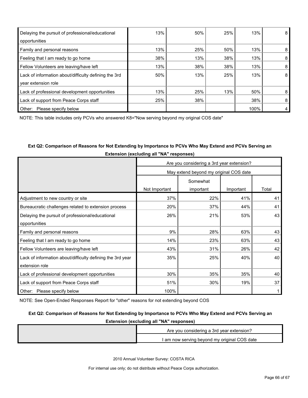| Delaying the pursuit of professional/educational      | 13% | 50% | 25% | 13%  | 8 |
|-------------------------------------------------------|-----|-----|-----|------|---|
| opportunities                                         |     |     |     |      |   |
| Family and personal reasons                           | 13% | 25% | 50% | 13%  | 8 |
| Feeling that I am ready to go home                    | 38% | 13% | 38% | 13%  | 8 |
| Fellow Volunteers are leaving/have left               | 13% | 38% | 38% | 13%  | 8 |
| Lack of information about/difficulty defining the 3rd | 50% | 13% | 25% | 13%  | 8 |
| year extension role                                   |     |     |     |      |   |
| Lack of professional development opportunities        | 13% | 25% | 13% | 50%  | 8 |
| Lack of support from Peace Corps staff                | 25% | 38% |     | 38%  | 8 |
| Other:<br>Please specify below                        |     |     |     | 100% |   |

NOTE: This table includes only PCVs who answered K8="Now serving beyond my original COS date"

## **Ext Q2: Comparison of Reasons for Not Extending by Importance to PCVs Who May Extend and PCVs Serving an Extension (excluding all "NA" responses)**

|                                                            | Are you considering a 3rd year extension? |           |           |       |
|------------------------------------------------------------|-------------------------------------------|-----------|-----------|-------|
|                                                            | May extend beyond my original COS date    |           |           |       |
|                                                            | Somewhat                                  |           |           |       |
|                                                            | Not Important                             | important | Important | Total |
| Adjustment to new country or site                          | 37%                                       | 22%       | 41%       | 41    |
| Bureaucratic challenges related to extension process       | 20%                                       | 37%       | 44%       | 41    |
| Delaying the pursuit of professional/educational           | 26%                                       | 21%       | 53%       | 43    |
| opportunities                                              |                                           |           |           |       |
| Family and personal reasons                                | 9%                                        | 28%       | 63%       | 43    |
| Feeling that I am ready to go home                         | 14%                                       | 23%       | 63%       | 43    |
| Fellow Volunteers are leaving/have left                    | 43%                                       | 31%       | 26%       | 42    |
| Lack of information about/difficulty defining the 3rd year | 35%                                       | 25%       | 40%       | 40    |
| extension role                                             |                                           |           |           |       |
| Lack of professional development opportunities             | 30%                                       | 35%       | 35%       | 40    |
| Lack of support from Peace Corps staff                     | 51%                                       | 30%       | 19%       | 37    |
| Other: Please specify below                                | 100%                                      |           |           |       |

NOTE: See Open-Ended Responses Report for "other" reasons for not extending beyond COS

#### **Ext Q2: Comparison of Reasons for Not Extending by Importance to PCVs Who May Extend and PCVs Serving an**

**Extension (excluding all "NA" responses)**

| Are you considering a 3rd year extension?    |
|----------------------------------------------|
| I am now serving beyond my original COS date |

2010 Annual Volunteer Survey: COSTA RICA